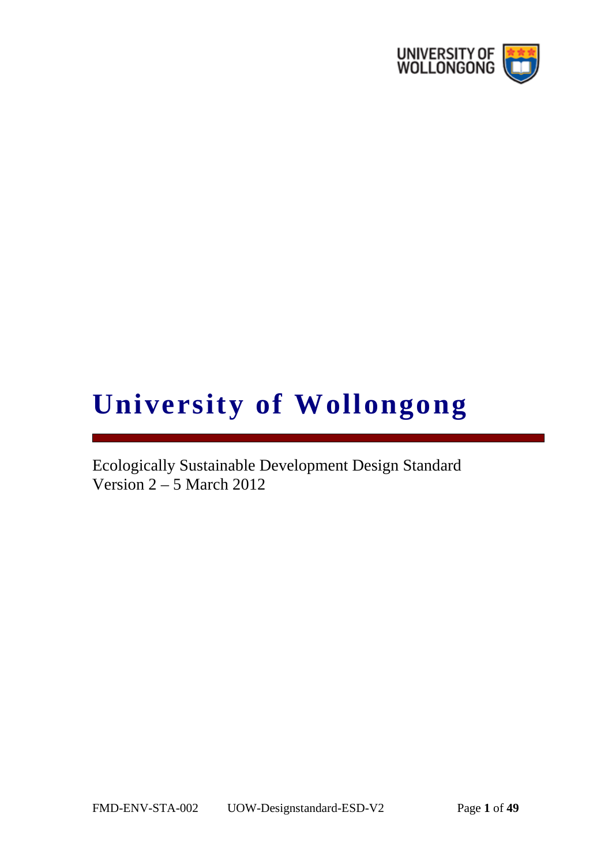

# **University of Wollongong**

Ecologically Sustainable Development Design Standard Version 2 – 5 March 2012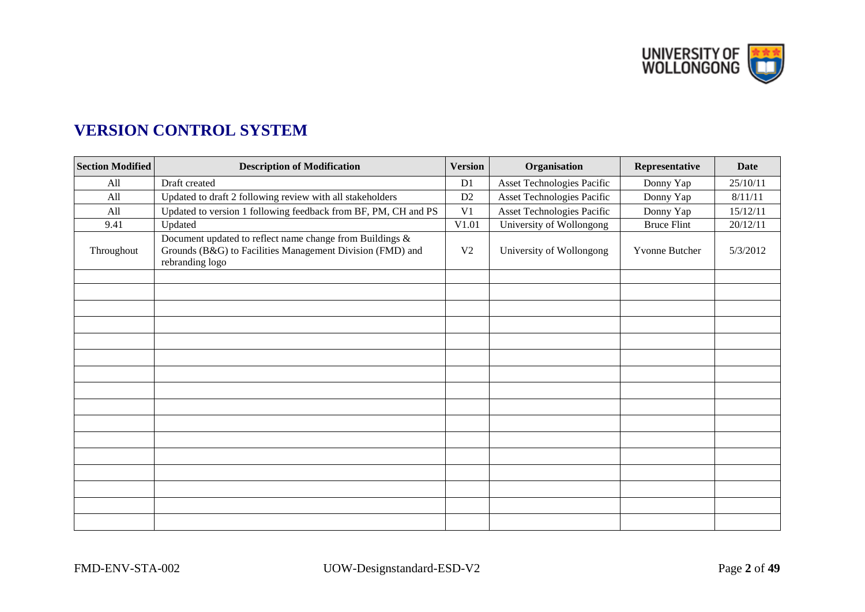UNIVERSITY OF

# **VERSION CONTROL SYSTEM**

| <b>Section Modified</b> | <b>Description of Modification</b>                                                                                                       | <b>Version</b> | Organisation               | Representative     | Date     |
|-------------------------|------------------------------------------------------------------------------------------------------------------------------------------|----------------|----------------------------|--------------------|----------|
| All                     | Draft created                                                                                                                            | D1             | Asset Technologies Pacific | Donny Yap          | 25/10/11 |
| All                     | Updated to draft 2 following review with all stakeholders                                                                                | D2             | Asset Technologies Pacific | Donny Yap          | 8/11/11  |
| All                     | Updated to version 1 following feedback from BF, PM, CH and PS                                                                           | V <sub>1</sub> | Asset Technologies Pacific | Donny Yap          | 15/12/11 |
| 9.41                    | Updated                                                                                                                                  | V1.01          | University of Wollongong   | <b>Bruce Flint</b> | 20/12/11 |
| Throughout              | Document updated to reflect name change from Buildings &<br>Grounds (B&G) to Facilities Management Division (FMD) and<br>rebranding logo | V <sub>2</sub> | University of Wollongong   | Yvonne Butcher     | 5/3/2012 |
|                         |                                                                                                                                          |                |                            |                    |          |
|                         |                                                                                                                                          |                |                            |                    |          |
|                         |                                                                                                                                          |                |                            |                    |          |
|                         |                                                                                                                                          |                |                            |                    |          |
|                         |                                                                                                                                          |                |                            |                    |          |
|                         |                                                                                                                                          |                |                            |                    |          |
|                         |                                                                                                                                          |                |                            |                    |          |
|                         |                                                                                                                                          |                |                            |                    |          |
|                         |                                                                                                                                          |                |                            |                    |          |
|                         |                                                                                                                                          |                |                            |                    |          |
|                         |                                                                                                                                          |                |                            |                    |          |
|                         |                                                                                                                                          |                |                            |                    |          |
|                         |                                                                                                                                          |                |                            |                    |          |
|                         |                                                                                                                                          |                |                            |                    |          |
|                         |                                                                                                                                          |                |                            |                    |          |
|                         |                                                                                                                                          |                |                            |                    |          |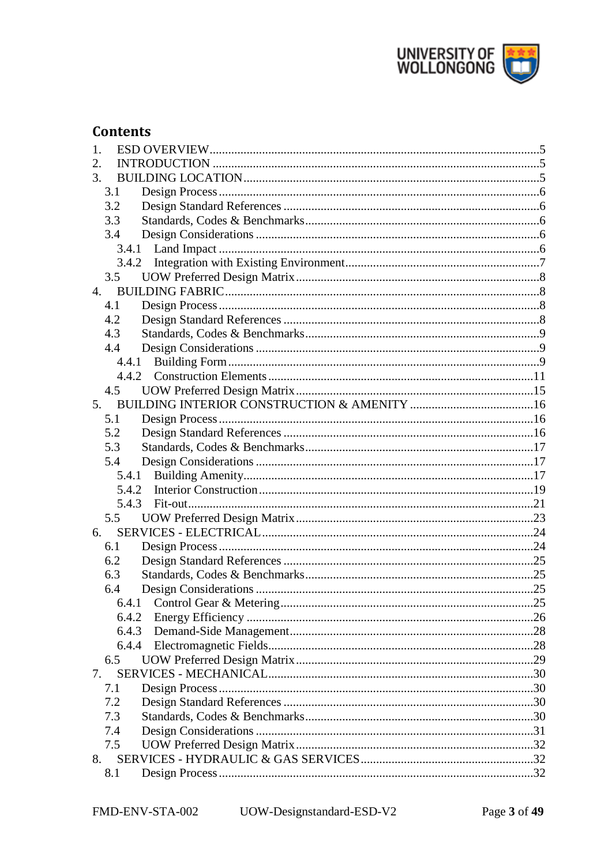

# **Contents**

| 1.    |  |
|-------|--|
| 2.    |  |
| 3.    |  |
| 3.1   |  |
| 3.2   |  |
| 3.3   |  |
| 3.4   |  |
| 3.4.1 |  |
| 3.4.2 |  |
| 3.5   |  |
| 4.    |  |
| 4.1   |  |
| 4.2   |  |
| 4.3   |  |
| 4.4   |  |
|       |  |
|       |  |
| 4.5   |  |
|       |  |
| 5.1   |  |
| 5.2   |  |
| 5.3   |  |
| 5.4   |  |
| 5.4.1 |  |
| 5.4.2 |  |
|       |  |
| 5.5   |  |
| 6.    |  |
| 6.1   |  |
| 6.2   |  |
| 6.3   |  |
| 6.4   |  |
|       |  |
| 6.4.2 |  |
| 6.4.3 |  |
|       |  |
| 6.5   |  |
| 7.    |  |
| 7.1   |  |
| 7.2   |  |
| 7.3   |  |
| 7.4   |  |
| 7.5   |  |
| 8.    |  |
| 8.1   |  |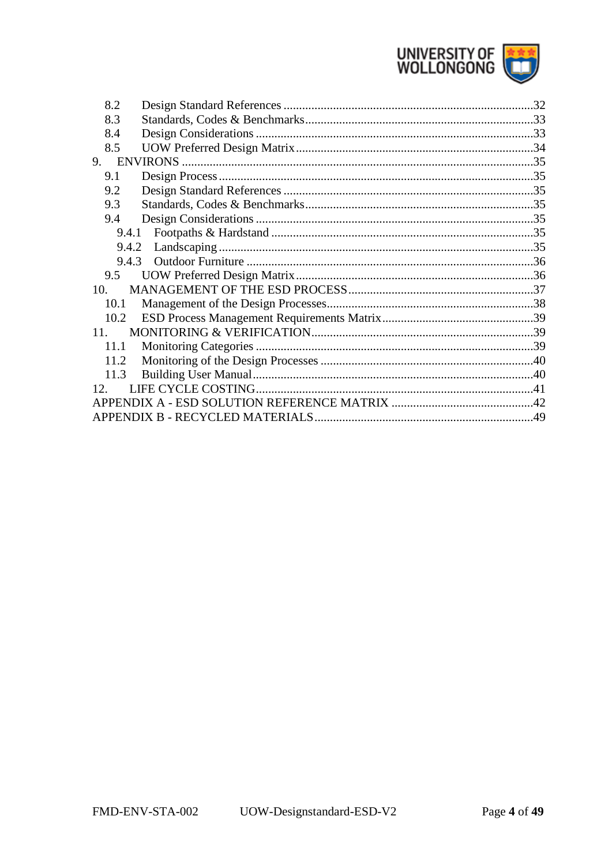

| 8.2             | .32 |
|-----------------|-----|
| 8.3             |     |
| 8.4             |     |
| 8.5             |     |
| 9.              |     |
| 9.1             |     |
| 9.2             |     |
| 9.3             |     |
| 9.4             |     |
| 9.4.1           |     |
| 9.4.2           |     |
| 9.4.3           |     |
| 9.5             |     |
| 10.             |     |
| 10.1            |     |
| 10.2            |     |
| 11              |     |
| 11.1            |     |
| 11.2            |     |
| 11.3            |     |
| 12 <sup>7</sup> |     |
|                 |     |
|                 |     |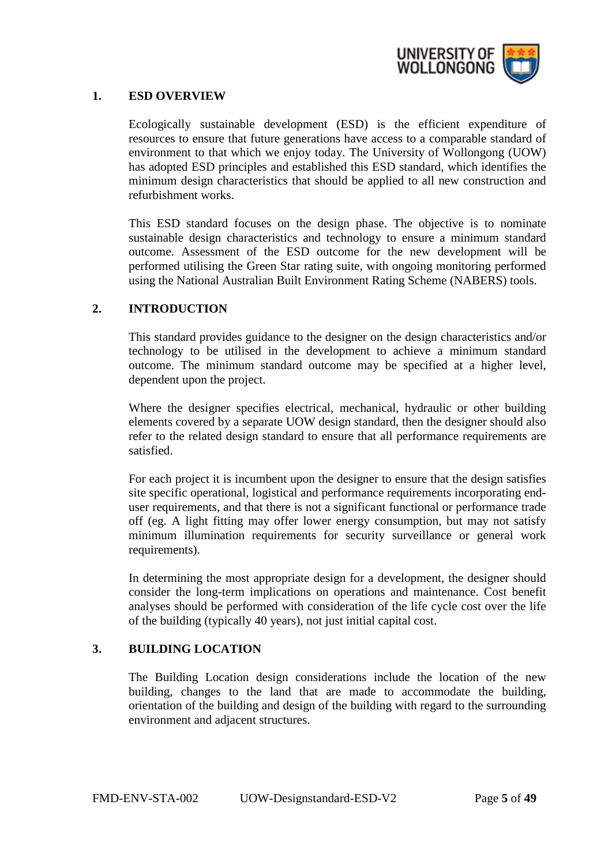

# <span id="page-4-0"></span>**1. ESD OVERVIEW**

Ecologically sustainable development (ESD) is the efficient expenditure of resources to ensure that future generations have access to a comparable standard of environment to that which we enjoy today. The University of Wollongong (UOW) has adopted ESD principles and established this ESD standard, which identifies the minimum design characteristics that should be applied to all new construction and refurbishment works.

This ESD standard focuses on the design phase. The objective is to nominate sustainable design characteristics and technology to ensure a minimum standard outcome. Assessment of the ESD outcome for the new development will be performed utilising the Green Star rating suite, with ongoing monitoring performed using the National Australian Built Environment Rating Scheme (NABERS) tools.

## <span id="page-4-1"></span>**2. INTRODUCTION**

This standard provides guidance to the designer on the design characteristics and/or technology to be utilised in the development to achieve a minimum standard outcome. The minimum standard outcome may be specified at a higher level, dependent upon the project.

Where the designer specifies electrical, mechanical, hydraulic or other building elements covered by a separate UOW design standard, then the designer should also refer to the related design standard to ensure that all performance requirements are satisfied.

For each project it is incumbent upon the designer to ensure that the design satisfies site specific operational, logistical and performance requirements incorporating enduser requirements, and that there is not a significant functional or performance trade off (eg. A light fitting may offer lower energy consumption, but may not satisfy minimum illumination requirements for security surveillance or general work requirements).

In determining the most appropriate design for a development, the designer should consider the long-term implications on operations and maintenance. Cost benefit analyses should be performed with consideration of the life cycle cost over the life of the building (typically 40 years), not just initial capital cost.

# <span id="page-4-2"></span>**3. BUILDING LOCATION**

The Building Location design considerations include the location of the new building, changes to the land that are made to accommodate the building, orientation of the building and design of the building with regard to the surrounding environment and adjacent structures.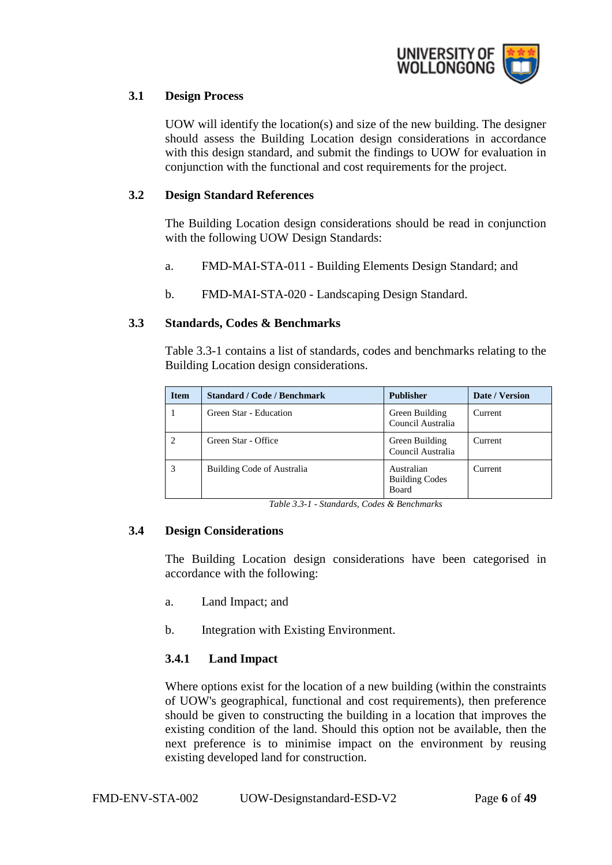

# <span id="page-5-0"></span>**3.1 Design Process**

UOW will identify the location(s) and size of the new building. The designer should assess the Building Location design considerations in accordance with this design standard, and submit the findings to UOW for evaluation in conjunction with the functional and cost requirements for the project.

#### <span id="page-5-1"></span>**3.2 Design Standard References**

The Building Location design considerations should be read in conjunction with the following UOW Design Standards:

- a. FMD-MAI-STA-011 Building Elements Design Standard; and
- b. FMD-MAI-STA-020 Landscaping Design Standard.

## <span id="page-5-2"></span>**3.3 Standards, Codes & Benchmarks**

Table 3.3-1 contains a list of standards, codes and benchmarks relating to the Building Location design considerations.

| <b>Item</b> | <b>Standard / Code / Benchmark</b> | <b>Publisher</b>                                    | Date / Version |
|-------------|------------------------------------|-----------------------------------------------------|----------------|
|             | Green Star - Education             | Green Building<br>Council Australia                 | Current        |
|             | Green Star - Office                | Green Building<br>Council Australia                 | Current        |
|             | Building Code of Australia         | Australian<br><b>Building Codes</b><br><b>Board</b> | Current        |

*Table 3.3-1 - Standards, Codes & Benchmarks*

#### <span id="page-5-3"></span>**3.4 Design Considerations**

The Building Location design considerations have been categorised in accordance with the following:

- a. Land Impact; and
- b. Integration with Existing Environment.

# <span id="page-5-4"></span>**3.4.1 Land Impact**

Where options exist for the location of a new building (within the constraints of UOW's geographical, functional and cost requirements), then preference should be given to constructing the building in a location that improves the existing condition of the land. Should this option not be available, then the next preference is to minimise impact on the environment by reusing existing developed land for construction.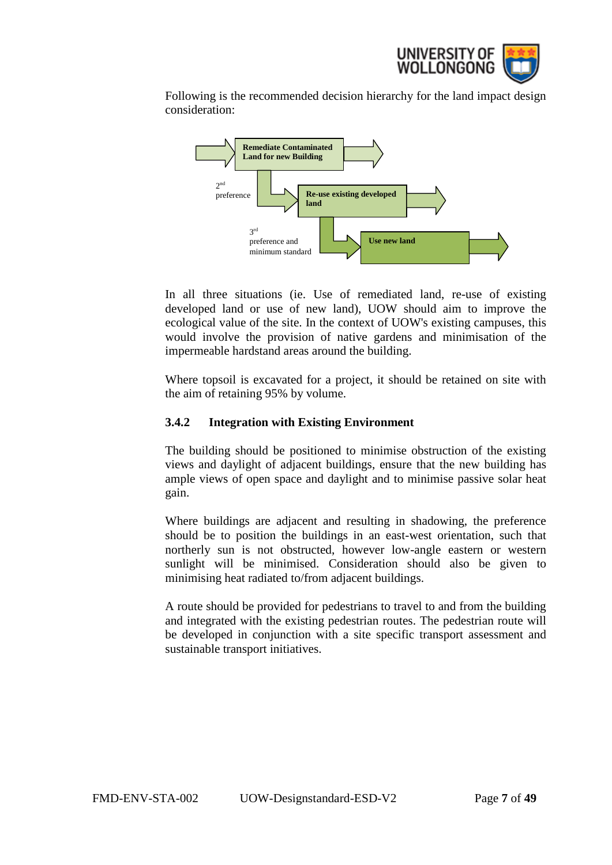

Following is the recommended decision hierarchy for the land impact design consideration:



In all three situations (ie. Use of remediated land, re-use of existing developed land or use of new land), UOW should aim to improve the ecological value of the site. In the context of UOW's existing campuses, this would involve the provision of native gardens and minimisation of the impermeable hardstand areas around the building.

Where topsoil is excavated for a project, it should be retained on site with the aim of retaining 95% by volume.

# <span id="page-6-0"></span>**3.4.2 Integration with Existing Environment**

The building should be positioned to minimise obstruction of the existing views and daylight of adjacent buildings, ensure that the new building has ample views of open space and daylight and to minimise passive solar heat gain.

Where buildings are adjacent and resulting in shadowing, the preference should be to position the buildings in an east-west orientation, such that northerly sun is not obstructed, however low-angle eastern or western sunlight will be minimised. Consideration should also be given to minimising heat radiated to/from adjacent buildings.

A route should be provided for pedestrians to travel to and from the building and integrated with the existing pedestrian routes. The pedestrian route will be developed in conjunction with a site specific transport assessment and sustainable transport initiatives.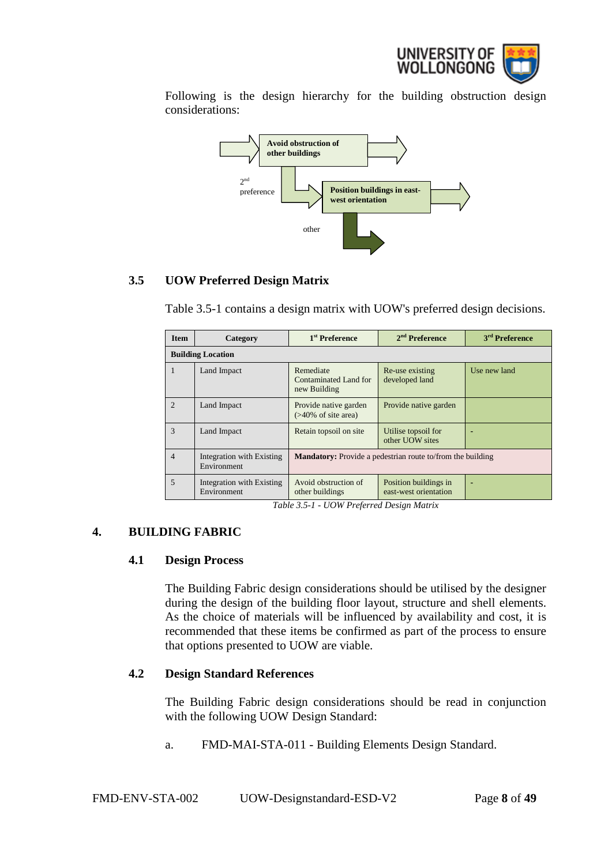

Following is the design hierarchy for the building obstruction design considerations:



# <span id="page-7-0"></span>**3.5 UOW Preferred Design Matrix**

Table 3.5-1 contains a design matrix with UOW's preferred design decisions.

| <b>Item</b>    | Category                                 | 1 <sup>st</sup> Preference                                        | $2nd$ Preference                               | 3 <sup>rd</sup> Preference |
|----------------|------------------------------------------|-------------------------------------------------------------------|------------------------------------------------|----------------------------|
|                | <b>Building Location</b>                 |                                                                   |                                                |                            |
| 1              | Land Impact                              | Remediate<br>Contaminated Land for<br>new Building                | Re-use existing<br>developed land              | Use new land               |
| $\mathfrak{D}$ | Land Impact                              | Provide native garden<br>$($ >40% of site area)                   | Provide native garden                          |                            |
| $\mathcal{R}$  | Land Impact                              | Retain topsoil on site                                            | Utilise topsoil for<br>other UOW sites         |                            |
| $\overline{4}$ | Integration with Existing<br>Environment | <b>Mandatory:</b> Provide a pedestrian route to/from the building |                                                |                            |
| 5              | Integration with Existing<br>Environment | Avoid obstruction of<br>other buildings                           | Position buildings in<br>east-west orientation |                            |

*Table 3.5-1 - UOW Preferred Design Matrix*

# <span id="page-7-2"></span><span id="page-7-1"></span>**4. BUILDING FABRIC**

#### **4.1 Design Process**

The Building Fabric design considerations should be utilised by the designer during the design of the building floor layout, structure and shell elements. As the choice of materials will be influenced by availability and cost, it is recommended that these items be confirmed as part of the process to ensure that options presented to UOW are viable.

# <span id="page-7-3"></span>**4.2 Design Standard References**

The Building Fabric design considerations should be read in conjunction with the following UOW Design Standard:

a. FMD-MAI-STA-011 - Building Elements Design Standard.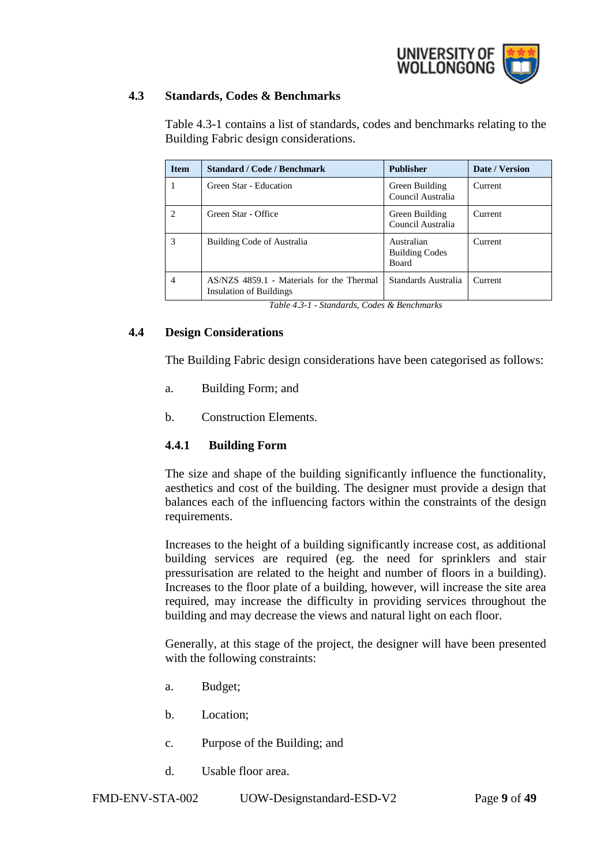

# <span id="page-8-0"></span>**4.3 Standards, Codes & Benchmarks**

Table 4.3-1 contains a list of standards, codes and benchmarks relating to the Building Fabric design considerations.

| <b>Item</b>                 | <b>Standard / Code / Benchmark</b>                                   | <b>Publisher</b>                                    | Date / Version |
|-----------------------------|----------------------------------------------------------------------|-----------------------------------------------------|----------------|
|                             | Green Star - Education                                               | Green Building<br>Council Australia                 | Current        |
| $\mathcal{D}_{\mathcal{L}}$ | Green Star - Office                                                  | Green Building<br>Council Australia                 | Current        |
| 3                           | Building Code of Australia                                           | Australian<br><b>Building Codes</b><br><b>Board</b> | Current        |
| $\overline{4}$              | AS/NZS 4859.1 - Materials for the Thermal<br>Insulation of Buildings | Standards Australia                                 | Current        |

*Table 4.3-1 - Standards, Codes & Benchmarks*

## <span id="page-8-1"></span>**4.4 Design Considerations**

The Building Fabric design considerations have been categorised as follows:

- a. Building Form; and
- b. Construction Elements.

# <span id="page-8-2"></span>**4.4.1 Building Form**

The size and shape of the building significantly influence the functionality, aesthetics and cost of the building. The designer must provide a design that balances each of the influencing factors within the constraints of the design requirements.

Increases to the height of a building significantly increase cost, as additional building services are required (eg. the need for sprinklers and stair pressurisation are related to the height and number of floors in a building). Increases to the floor plate of a building, however, will increase the site area required, may increase the difficulty in providing services throughout the building and may decrease the views and natural light on each floor.

Generally, at this stage of the project, the designer will have been presented with the following constraints:

- a. Budget;
- b. Location;
- c. Purpose of the Building; and
- d. Usable floor area.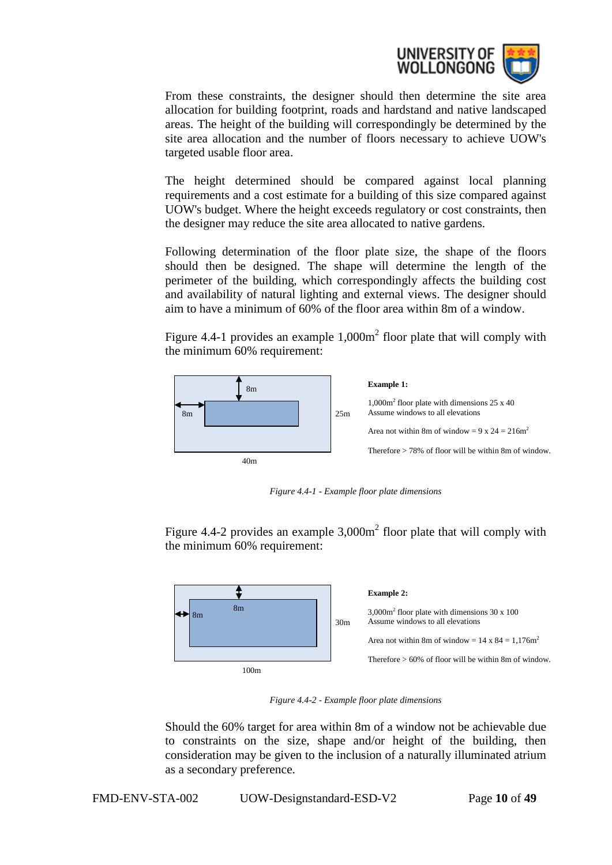

From these constraints, the designer should then determine the site area allocation for building footprint, roads and hardstand and native landscaped areas. The height of the building will correspondingly be determined by the site area allocation and the number of floors necessary to achieve UOW's targeted usable floor area.

The height determined should be compared against local planning requirements and a cost estimate for a building of this size compared against UOW's budget. Where the height exceeds regulatory or cost constraints, then the designer may reduce the site area allocated to native gardens.

Following determination of the floor plate size, the shape of the floors should then be designed. The shape will determine the length of the perimeter of the building, which correspondingly affects the building cost and availability of natural lighting and external views. The designer should aim to have a minimum of 60% of the floor area within 8m of a window.

Figure 4.4-1 provides an example  $1,000m^2$  floor plate that will comply with the minimum 60% requirement:



*Figure 4.4-1 - Example floor plate dimensions*

Figure 4.4-2 provides an example  $3,000m^2$  floor plate that will comply with the minimum 60% requirement:



*Figure 4.4-2 - Example floor plate dimensions*

Should the 60% target for area within 8m of a window not be achievable due to constraints on the size, shape and/or height of the building, then consideration may be given to the inclusion of a naturally illuminated atrium as a secondary preference.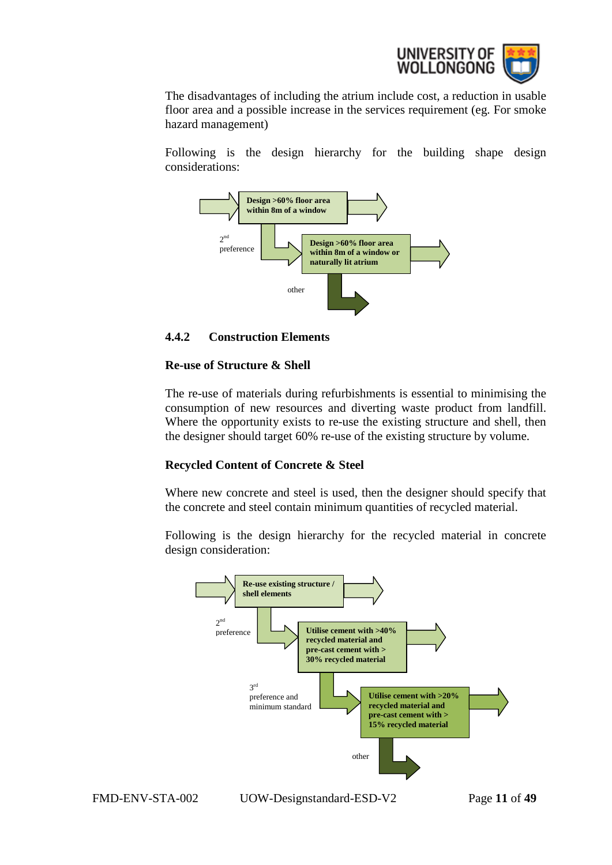

The disadvantages of including the atrium include cost, a reduction in usable floor area and a possible increase in the services requirement (eg. For smoke hazard management)

Following is the design hierarchy for the building shape design considerations:



## <span id="page-10-0"></span>**4.4.2 Construction Elements**

#### **Re-use of Structure & Shell**

The re-use of materials during refurbishments is essential to minimising the consumption of new resources and diverting waste product from landfill. Where the opportunity exists to re-use the existing structure and shell, then the designer should target 60% re-use of the existing structure by volume.

# **Recycled Content of Concrete & Steel**

Where new concrete and steel is used, then the designer should specify that the concrete and steel contain minimum quantities of recycled material.

Following is the design hierarchy for the recycled material in concrete design consideration:



FMD-ENV-STA-002 UOW-Designstandard-ESD-V2 Page **11** of **49**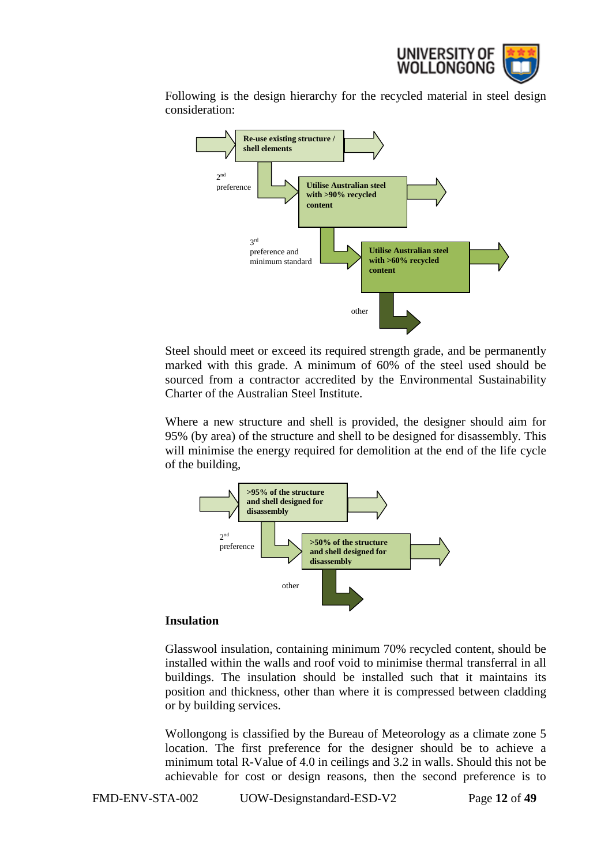

Following is the design hierarchy for the recycled material in steel design consideration:



Steel should meet or exceed its required strength grade, and be permanently marked with this grade. A minimum of 60% of the steel used should be sourced from a contractor accredited by the Environmental Sustainability Charter of the Australian Steel Institute.

Where a new structure and shell is provided, the designer should aim for 95% (by area) of the structure and shell to be designed for disassembly. This will minimise the energy required for demolition at the end of the life cycle of the building,



#### **Insulation**

Glasswool insulation, containing minimum 70% recycled content, should be installed within the walls and roof void to minimise thermal transferral in all buildings. The insulation should be installed such that it maintains its position and thickness, other than where it is compressed between cladding or by building services.

Wollongong is classified by the Bureau of Meteorology as a climate zone 5 location. The first preference for the designer should be to achieve a minimum total R-Value of 4.0 in ceilings and 3.2 in walls. Should this not be achievable for cost or design reasons, then the second preference is to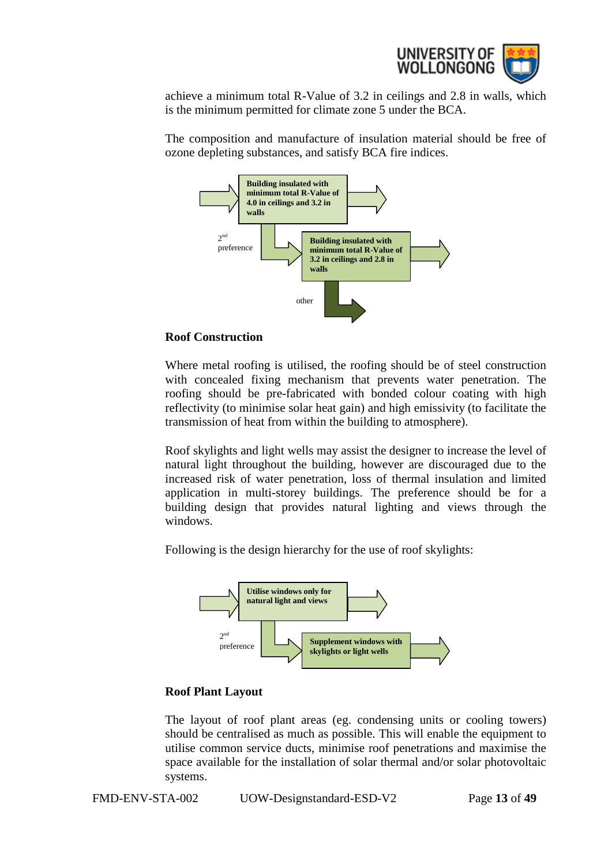

achieve a minimum total R-Value of 3.2 in ceilings and 2.8 in walls, which is the minimum permitted for climate zone 5 under the BCA.

The composition and manufacture of insulation material should be free of ozone depleting substances, and satisfy BCA fire indices.



#### **Roof Construction**

Where metal roofing is utilised, the roofing should be of steel construction with concealed fixing mechanism that prevents water penetration. The roofing should be pre-fabricated with bonded colour coating with high reflectivity (to minimise solar heat gain) and high emissivity (to facilitate the transmission of heat from within the building to atmosphere).

Roof skylights and light wells may assist the designer to increase the level of natural light throughout the building, however are discouraged due to the increased risk of water penetration, loss of thermal insulation and limited application in multi-storey buildings. The preference should be for a building design that provides natural lighting and views through the windows.

Following is the design hierarchy for the use of roof skylights:



#### **Roof Plant Layout**

The layout of roof plant areas (eg. condensing units or cooling towers) should be centralised as much as possible. This will enable the equipment to utilise common service ducts, minimise roof penetrations and maximise the space available for the installation of solar thermal and/or solar photovoltaic systems.

FMD-ENV-STA-002 UOW-Designstandard-ESD-V2 Page **13** of **49**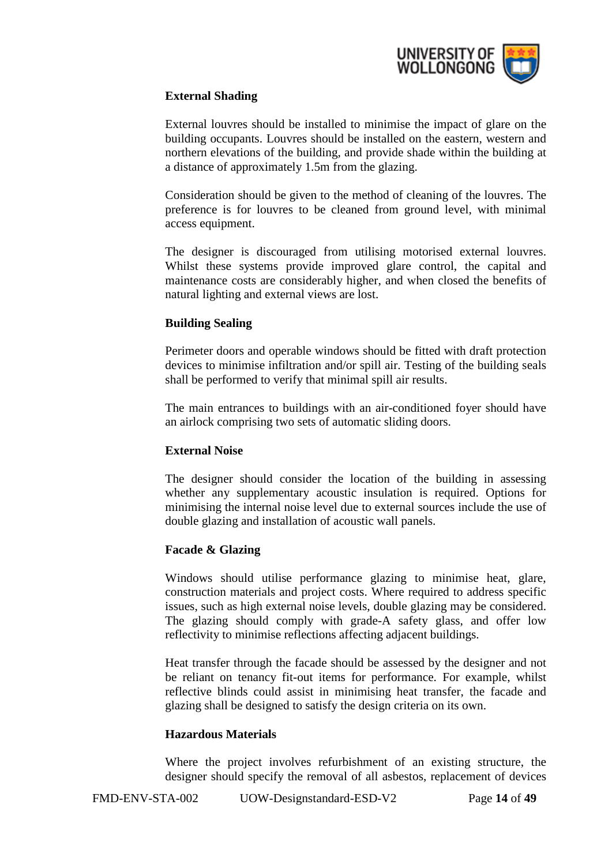

# **External Shading**

External louvres should be installed to minimise the impact of glare on the building occupants. Louvres should be installed on the eastern, western and northern elevations of the building, and provide shade within the building at a distance of approximately 1.5m from the glazing.

Consideration should be given to the method of cleaning of the louvres. The preference is for louvres to be cleaned from ground level, with minimal access equipment.

The designer is discouraged from utilising motorised external louvres. Whilst these systems provide improved glare control, the capital and maintenance costs are considerably higher, and when closed the benefits of natural lighting and external views are lost.

## **Building Sealing**

Perimeter doors and operable windows should be fitted with draft protection devices to minimise infiltration and/or spill air. Testing of the building seals shall be performed to verify that minimal spill air results.

The main entrances to buildings with an air-conditioned foyer should have an airlock comprising two sets of automatic sliding doors.

#### **External Noise**

The designer should consider the location of the building in assessing whether any supplementary acoustic insulation is required. Options for minimising the internal noise level due to external sources include the use of double glazing and installation of acoustic wall panels.

#### **Facade & Glazing**

Windows should utilise performance glazing to minimise heat, glare, construction materials and project costs. Where required to address specific issues, such as high external noise levels, double glazing may be considered. The glazing should comply with grade-A safety glass, and offer low reflectivity to minimise reflections affecting adjacent buildings.

Heat transfer through the facade should be assessed by the designer and not be reliant on tenancy fit-out items for performance. For example, whilst reflective blinds could assist in minimising heat transfer, the facade and glazing shall be designed to satisfy the design criteria on its own.

#### **Hazardous Materials**

Where the project involves refurbishment of an existing structure, the designer should specify the removal of all asbestos, replacement of devices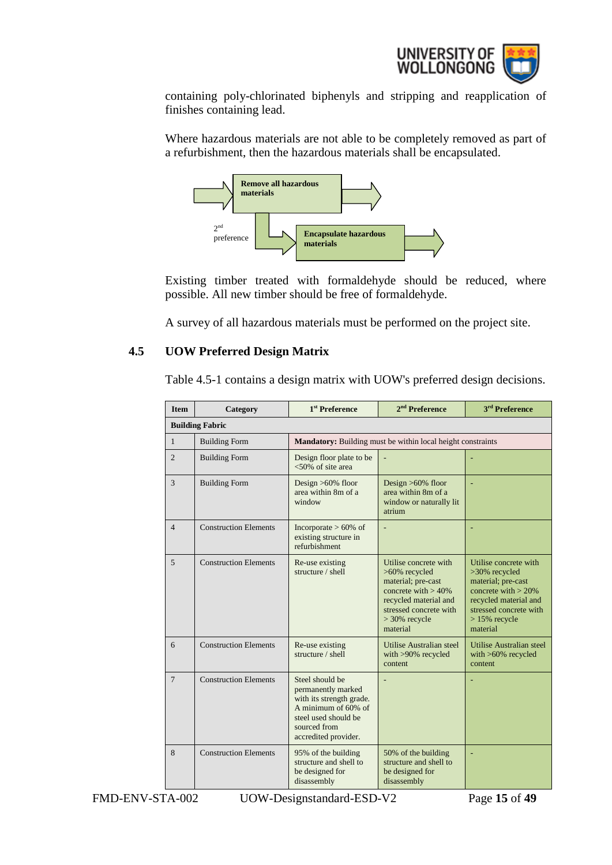

containing poly-chlorinated biphenyls and stripping and reapplication of finishes containing lead.

Where hazardous materials are not able to be completely removed as part of a refurbishment, then the hazardous materials shall be encapsulated.



Existing timber treated with formaldehyde should be reduced, where possible. All new timber should be free of formaldehyde.

A survey of all hazardous materials must be performed on the project site.

## <span id="page-14-0"></span>**4.5 UOW Preferred Design Matrix**

Table 4.5-1 contains a design matrix with UOW's preferred design decisions.

| <b>Item</b>    | Category                     | 1 <sup>st</sup> Preference                                                                                                                               | $2nd$ Preference                                                                                                                                                         | 3 <sup>rd</sup> Preference                                                                                                                                               |  |
|----------------|------------------------------|----------------------------------------------------------------------------------------------------------------------------------------------------------|--------------------------------------------------------------------------------------------------------------------------------------------------------------------------|--------------------------------------------------------------------------------------------------------------------------------------------------------------------------|--|
|                | <b>Building Fabric</b>       |                                                                                                                                                          |                                                                                                                                                                          |                                                                                                                                                                          |  |
| $\mathbf{1}$   | <b>Building Form</b>         |                                                                                                                                                          | Mandatory: Building must be within local height constraints                                                                                                              |                                                                                                                                                                          |  |
| $\overline{c}$ | <b>Building Form</b>         | Design floor plate to be<br>$< 50\%$ of site area                                                                                                        |                                                                                                                                                                          |                                                                                                                                                                          |  |
| 3              | <b>Building Form</b>         | Design $>60\%$ floor<br>area within 8m of a<br>window                                                                                                    | Design $>60\%$ floor<br>area within 8m of a<br>window or naturally lit<br>atrium                                                                                         |                                                                                                                                                                          |  |
| $\overline{4}$ | <b>Construction Elements</b> | Incorporate $> 60\%$ of<br>existing structure in<br>refurbishment                                                                                        |                                                                                                                                                                          |                                                                                                                                                                          |  |
| $\overline{5}$ | <b>Construction Elements</b> | Re-use existing<br>structure / shell                                                                                                                     | Utilise concrete with<br>>60% recycled<br>material; pre-cast<br>concrete with $> 40\%$<br>recycled material and<br>stressed concrete with<br>$>30\%$ recycle<br>material | Utilise concrete with<br>>30% recycled<br>material; pre-cast<br>concrete with $> 20\%$<br>recycled material and<br>stressed concrete with<br>$>15\%$ recycle<br>material |  |
| 6              | <b>Construction Elements</b> | Re-use existing<br>structure / shell                                                                                                                     | Utilise Australian steel<br>with >90% recycled<br>content                                                                                                                | Utilise Australian steel<br>with $>60\%$ recycled<br>content                                                                                                             |  |
| $\overline{7}$ | <b>Construction Elements</b> | Steel should be<br>permanently marked<br>with its strength grade.<br>A minimum of 60% of<br>steel used should be<br>sourced from<br>accredited provider. |                                                                                                                                                                          |                                                                                                                                                                          |  |
| 8              | <b>Construction Elements</b> | 95% of the building<br>structure and shell to<br>be designed for<br>disassembly                                                                          | 50% of the building<br>structure and shell to<br>be designed for<br>disassembly                                                                                          |                                                                                                                                                                          |  |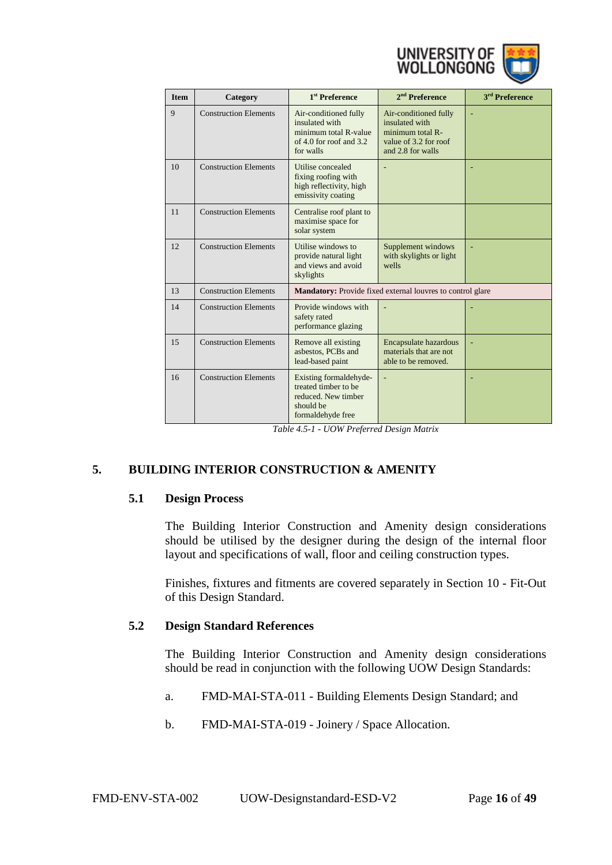

| <b>Item</b> | Category                     | 1 <sup>st</sup> Preference                                                                               | $2nd$ Preference                                                                                          | <sup>3rd</sup> Preference |
|-------------|------------------------------|----------------------------------------------------------------------------------------------------------|-----------------------------------------------------------------------------------------------------------|---------------------------|
| 9           | <b>Construction Elements</b> | Air-conditioned fully<br>insulated with<br>minimum total R-value<br>of 4.0 for roof and 3.2<br>for walls | Air-conditioned fully<br>insulated with<br>minimum total R-<br>value of 3.2 for roof<br>and 2.8 for walls |                           |
| 10          | <b>Construction Elements</b> | Utilise concealed<br>fixing roofing with<br>high reflectivity, high<br>emissivity coating                |                                                                                                           |                           |
| 11          | <b>Construction Elements</b> | Centralise roof plant to<br>maximise space for<br>solar system                                           |                                                                                                           |                           |
| 12          | <b>Construction Elements</b> | Utilise windows to<br>provide natural light<br>and views and avoid<br>skylights                          | Supplement windows<br>with skylights or light<br>wells                                                    |                           |
| 13          | <b>Construction Elements</b> |                                                                                                          | Mandatory: Provide fixed external louvres to control glare                                                |                           |
| 14          | <b>Construction Elements</b> | Provide windows with<br>safety rated<br>performance glazing                                              |                                                                                                           |                           |
| 15          | <b>Construction Elements</b> | Remove all existing<br>asbestos, PCBs and<br>lead-based paint                                            | Encapsulate hazardous<br>materials that are not<br>able to be removed.                                    |                           |
| 16          | <b>Construction Elements</b> | Existing formaldehyde-<br>treated timber to be<br>reduced. New timber<br>should be<br>formaldehyde free  | ä,                                                                                                        |                           |

*Table 4.5-1 - UOW Preferred Design Matrix*

# <span id="page-15-1"></span><span id="page-15-0"></span>**5. BUILDING INTERIOR CONSTRUCTION & AMENITY**

#### **5.1 Design Process**

The Building Interior Construction and Amenity design considerations should be utilised by the designer during the design of the internal floor layout and specifications of wall, floor and ceiling construction types.

Finishes, fixtures and fitments are covered separately in Section 10 - Fit-Out of this Design Standard.

#### <span id="page-15-2"></span>**5.2 Design Standard References**

The Building Interior Construction and Amenity design considerations should be read in conjunction with the following UOW Design Standards:

- a. FMD-MAI-STA-011 Building Elements Design Standard; and
- b. FMD-MAI-STA-019 Joinery / Space Allocation.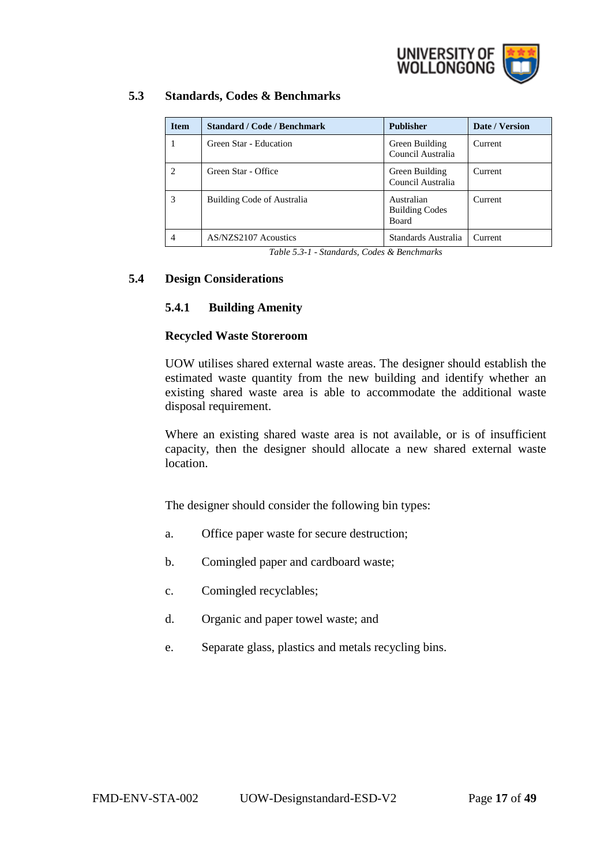

# <span id="page-16-0"></span>**5.3 Standards, Codes & Benchmarks**

| <b>Item</b> | <b>Standard / Code / Benchmark</b> | <b>Publisher</b>                                    | Date / Version |
|-------------|------------------------------------|-----------------------------------------------------|----------------|
|             | Green Star - Education             | Green Building<br>Council Australia                 | Current        |
| 2           | Green Star - Office                | Green Building<br>Council Australia                 | Current        |
| 3           | Building Code of Australia         | Australian<br><b>Building Codes</b><br><b>Board</b> | Current        |
| 4           | AS/NZS2107 Acoustics               | Standards Australia                                 | Current        |

*Table 5.3-1 - Standards, Codes & Benchmarks*

## <span id="page-16-2"></span><span id="page-16-1"></span>**5.4 Design Considerations**

#### **5.4.1 Building Amenity**

#### **Recycled Waste Storeroom**

UOW utilises shared external waste areas. The designer should establish the estimated waste quantity from the new building and identify whether an existing shared waste area is able to accommodate the additional waste disposal requirement.

Where an existing shared waste area is not available, or is of insufficient capacity, then the designer should allocate a new shared external waste location.

The designer should consider the following bin types:

- a. Office paper waste for secure destruction;
- b. Comingled paper and cardboard waste;
- c. Comingled recyclables;
- d. Organic and paper towel waste; and
- e. Separate glass, plastics and metals recycling bins.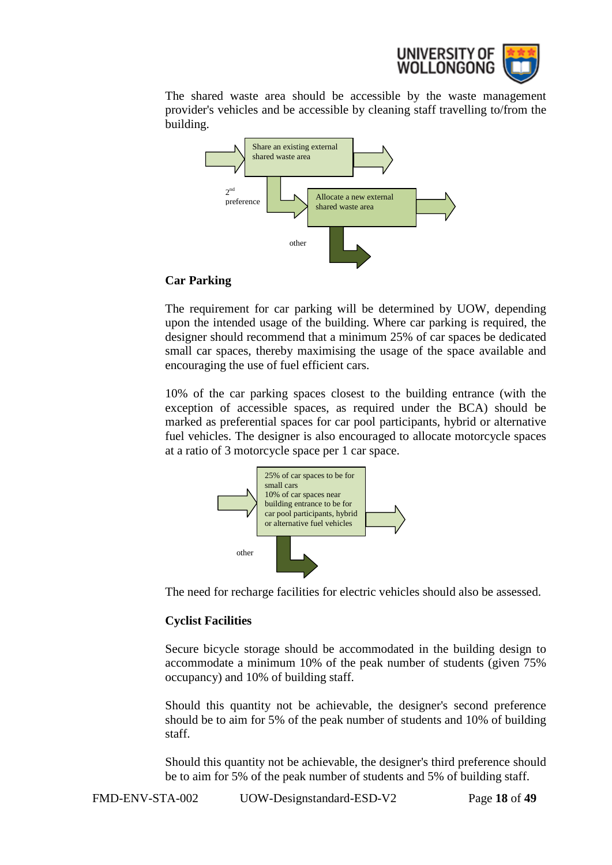

The shared waste area should be accessible by the waste management provider's vehicles and be accessible by cleaning staff travelling to/from the building.



## **Car Parking**

The requirement for car parking will be determined by UOW, depending upon the intended usage of the building. Where car parking is required, the designer should recommend that a minimum 25% of car spaces be dedicated small car spaces, thereby maximising the usage of the space available and encouraging the use of fuel efficient cars.

10% of the car parking spaces closest to the building entrance (with the exception of accessible spaces, as required under the BCA) should be marked as preferential spaces for car pool participants, hybrid or alternative fuel vehicles. The designer is also encouraged to allocate motorcycle spaces at a ratio of 3 motorcycle space per 1 car space.



The need for recharge facilities for electric vehicles should also be assessed.

# **Cyclist Facilities**

Secure bicycle storage should be accommodated in the building design to accommodate a minimum 10% of the peak number of students (given 75% occupancy) and 10% of building staff.

Should this quantity not be achievable, the designer's second preference should be to aim for 5% of the peak number of students and 10% of building staff.

Should this quantity not be achievable, the designer's third preference should be to aim for 5% of the peak number of students and 5% of building staff.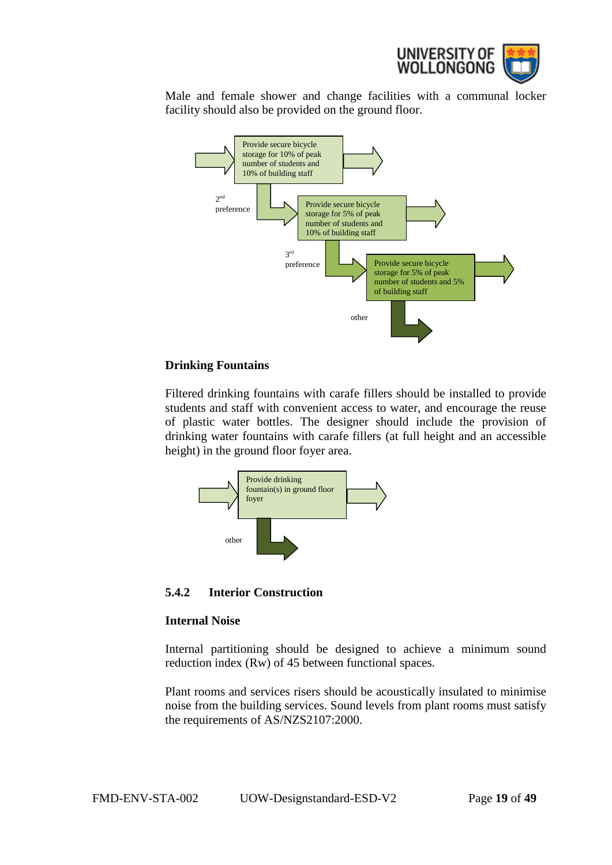

Male and female shower and change facilities with a communal locker facility should also be provided on the ground floor.



#### **Drinking Fountains**

Filtered drinking fountains with carafe fillers should be installed to provide students and staff with convenient access to water, and encourage the reuse of plastic water bottles. The designer should include the provision of drinking water fountains with carafe fillers (at full height and an accessible height) in the ground floor foyer area.



<span id="page-18-0"></span>**5.4.2 Interior Construction**

#### **Internal Noise**

Internal partitioning should be designed to achieve a minimum sound reduction index (Rw) of 45 between functional spaces.

Plant rooms and services risers should be acoustically insulated to minimise noise from the building services. Sound levels from plant rooms must satisfy the requirements of AS/NZS2107:2000.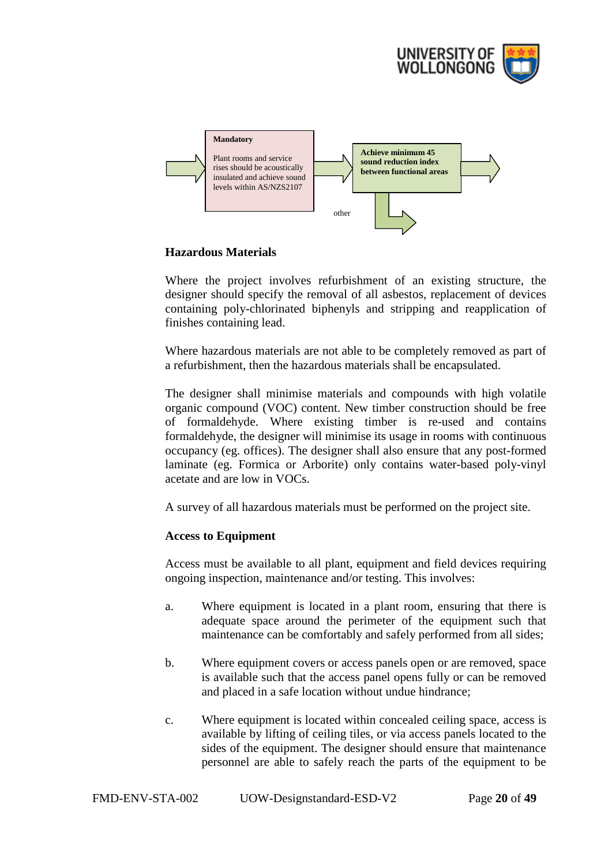



## **Hazardous Materials**

Where the project involves refurbishment of an existing structure, the designer should specify the removal of all asbestos, replacement of devices containing poly-chlorinated biphenyls and stripping and reapplication of finishes containing lead.

Where hazardous materials are not able to be completely removed as part of a refurbishment, then the hazardous materials shall be encapsulated.

The designer shall minimise materials and compounds with high volatile organic compound (VOC) content. New timber construction should be free of formaldehyde. Where existing timber is re-used and contains formaldehyde, the designer will minimise its usage in rooms with continuous occupancy (eg. offices). The designer shall also ensure that any post-formed laminate (eg. Formica or Arborite) only contains water-based poly-vinyl acetate and are low in VOCs.

A survey of all hazardous materials must be performed on the project site.

#### **Access to Equipment**

Access must be available to all plant, equipment and field devices requiring ongoing inspection, maintenance and/or testing. This involves:

- a. Where equipment is located in a plant room, ensuring that there is adequate space around the perimeter of the equipment such that maintenance can be comfortably and safely performed from all sides;
- b. Where equipment covers or access panels open or are removed, space is available such that the access panel opens fully or can be removed and placed in a safe location without undue hindrance;
- c. Where equipment is located within concealed ceiling space, access is available by lifting of ceiling tiles, or via access panels located to the sides of the equipment. The designer should ensure that maintenance personnel are able to safely reach the parts of the equipment to be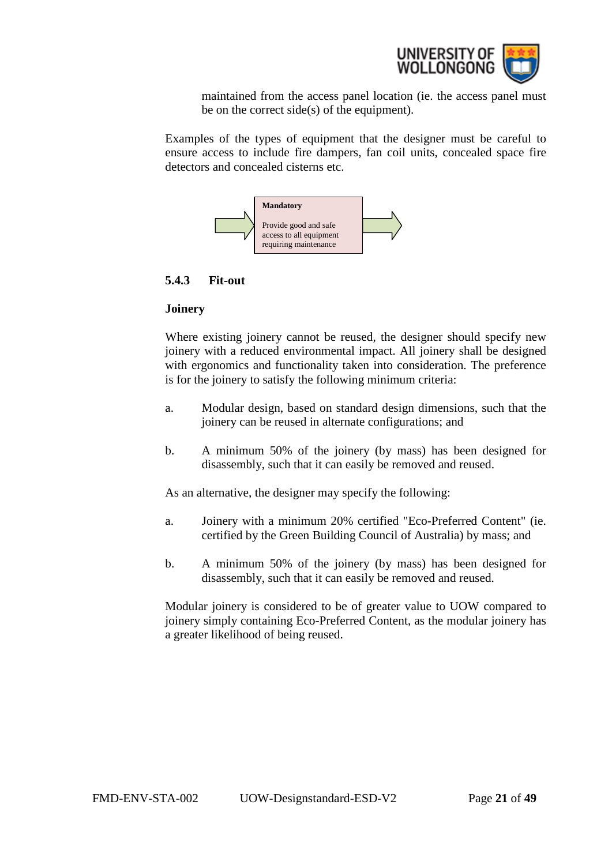

maintained from the access panel location (ie. the access panel must be on the correct side(s) of the equipment).

Examples of the types of equipment that the designer must be careful to ensure access to include fire dampers, fan coil units, concealed space fire detectors and concealed cisterns etc.



## <span id="page-20-0"></span>**5.4.3 Fit-out**

#### **Joinery**

Where existing joinery cannot be reused, the designer should specify new joinery with a reduced environmental impact. All joinery shall be designed with ergonomics and functionality taken into consideration. The preference is for the joinery to satisfy the following minimum criteria:

- a. Modular design, based on standard design dimensions, such that the joinery can be reused in alternate configurations; and
- b. A minimum 50% of the joinery (by mass) has been designed for disassembly, such that it can easily be removed and reused.

As an alternative, the designer may specify the following:

- a. Joinery with a minimum 20% certified "Eco-Preferred Content" (ie. certified by the Green Building Council of Australia) by mass; and
- b. A minimum 50% of the joinery (by mass) has been designed for disassembly, such that it can easily be removed and reused.

Modular joinery is considered to be of greater value to UOW compared to joinery simply containing Eco-Preferred Content, as the modular joinery has a greater likelihood of being reused.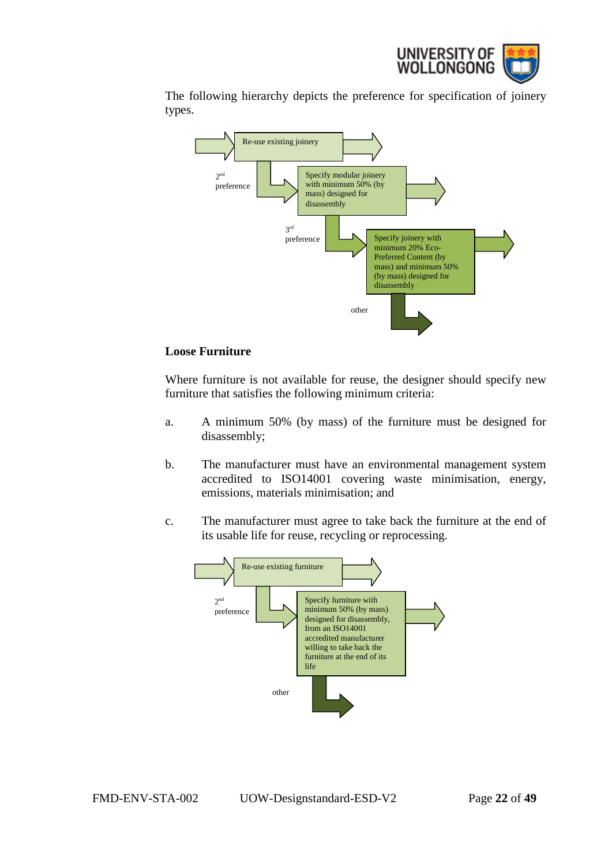

The following hierarchy depicts the preference for specification of joinery types.



#### **Loose Furniture**

Where furniture is not available for reuse, the designer should specify new furniture that satisfies the following minimum criteria:

- a. A minimum 50% (by mass) of the furniture must be designed for disassembly;
- b. The manufacturer must have an environmental management system accredited to ISO14001 covering waste minimisation, energy, emissions, materials minimisation; and
- c. The manufacturer must agree to take back the furniture at the end of its usable life for reuse, recycling or reprocessing.

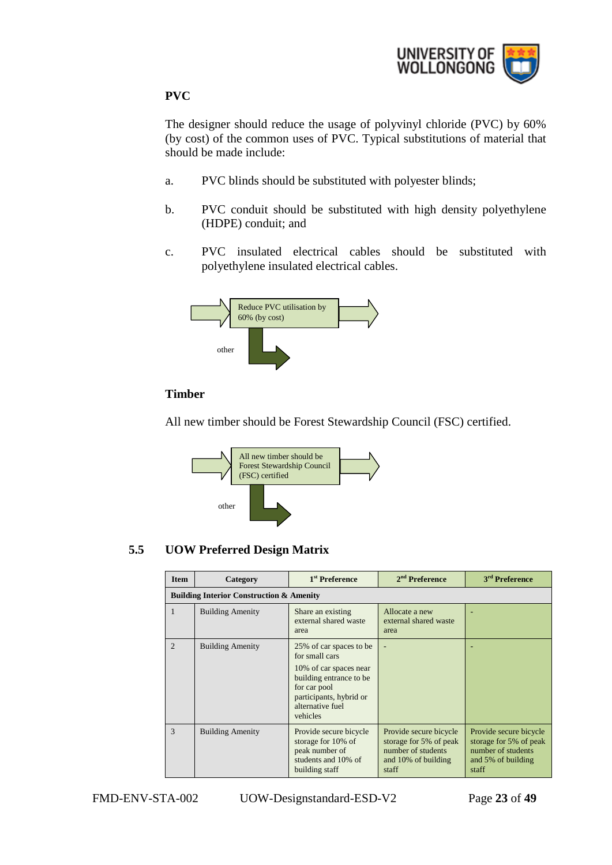

# **PVC**

The designer should reduce the usage of polyvinyl chloride (PVC) by 60% (by cost) of the common uses of PVC. Typical substitutions of material that should be made include:

- a. PVC blinds should be substituted with polyester blinds;
- b. PVC conduit should be substituted with high density polyethylene (HDPE) conduit; and
- c. PVC insulated electrical cables should be substituted with polyethylene insulated electrical cables.



# **Timber**

All new timber should be Forest Stewardship Council (FSC) certified.



# <span id="page-22-0"></span>**5.5 UOW Preferred Design Matrix**

| <b>Item</b>                 | Category                                            | 1 <sup>st</sup> Preference                                                                                                                                                 | $2nd$ Preference                                                                                       | 3 <sup>rd</sup> Preference                                                                            |
|-----------------------------|-----------------------------------------------------|----------------------------------------------------------------------------------------------------------------------------------------------------------------------------|--------------------------------------------------------------------------------------------------------|-------------------------------------------------------------------------------------------------------|
|                             | <b>Building Interior Construction &amp; Amenity</b> |                                                                                                                                                                            |                                                                                                        |                                                                                                       |
| $\mathbf{1}$                | <b>Building Amenity</b>                             | Share an existing<br>external shared waste<br>area                                                                                                                         | Allocate a new<br>external shared waste<br>area                                                        |                                                                                                       |
| $\mathcal{D}_{\mathcal{L}}$ | <b>Building Amenity</b>                             | 25% of car spaces to be<br>for small cars<br>10% of car spaces near<br>building entrance to be.<br>for car pool<br>participants, hybrid or<br>alternative fuel<br>vehicles | ۰                                                                                                      |                                                                                                       |
| 3                           | <b>Building Amenity</b>                             | Provide secure bicycle<br>storage for 10% of<br>peak number of<br>students and 10% of<br>building staff                                                                    | Provide secure bicycle<br>storage for 5% of peak<br>number of students<br>and 10% of building<br>staff | Provide secure bicycle<br>storage for 5% of peak<br>number of students<br>and 5% of building<br>staff |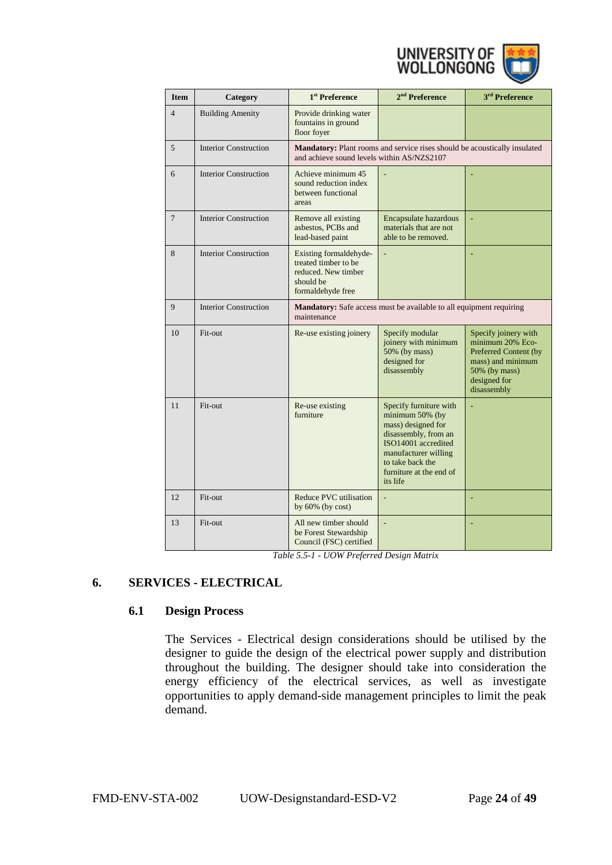

| <b>Item</b>    | Category                     | 1 <sup>st</sup> Preference                                                                              | 2 <sup>nd</sup> Preference                                                                                                                                                                        | 3 <sup>rd</sup> Preference                                                                                                             |
|----------------|------------------------------|---------------------------------------------------------------------------------------------------------|---------------------------------------------------------------------------------------------------------------------------------------------------------------------------------------------------|----------------------------------------------------------------------------------------------------------------------------------------|
| $\overline{4}$ | <b>Building Amenity</b>      | Provide drinking water<br>fountains in ground<br>floor foyer                                            |                                                                                                                                                                                                   |                                                                                                                                        |
| 5              | <b>Interior Construction</b> | and achieve sound levels within AS/NZS2107                                                              | Mandatory: Plant rooms and service rises should be acoustically insulated                                                                                                                         |                                                                                                                                        |
| 6              | <b>Interior Construction</b> | Achieve minimum 45<br>sound reduction index<br>between functional<br>areas                              |                                                                                                                                                                                                   |                                                                                                                                        |
| $\overline{7}$ | <b>Interior Construction</b> | Remove all existing<br>asbestos, PCBs and<br>lead-based paint                                           | Encapsulate hazardous<br>materials that are not<br>able to be removed.                                                                                                                            |                                                                                                                                        |
| 8              | <b>Interior Construction</b> | Existing formaldehyde-<br>treated timber to be<br>reduced. New timber<br>should be<br>formaldehyde free |                                                                                                                                                                                                   |                                                                                                                                        |
| 9              | <b>Interior Construction</b> | maintenance                                                                                             | <b>Mandatory:</b> Safe access must be available to all equipment requiring                                                                                                                        |                                                                                                                                        |
| 10             | Fit-out                      | Re-use existing joinery                                                                                 | Specify modular<br>joinery with minimum<br>50% (by mass)<br>designed for<br>disassembly                                                                                                           | Specify joinery with<br>minimum 20% Eco-<br>Preferred Content (by<br>mass) and minimum<br>50% (by mass)<br>designed for<br>disassembly |
| 11             | Fit-out                      | Re-use existing<br>furniture                                                                            | Specify furniture with<br>minimum 50% (by<br>mass) designed for<br>disassembly, from an<br>ISO14001 accredited<br>manufacturer willing<br>to take back the<br>furniture at the end of<br>its life |                                                                                                                                        |
| 12             | Fit-out                      | <b>Reduce PVC utilisation</b><br>by $60\%$ (by cost)                                                    | ä,                                                                                                                                                                                                |                                                                                                                                        |
| 13             | Fit-out                      | All new timber should<br>be Forest Stewardship<br>Council (FSC) certified                               | ÷,                                                                                                                                                                                                |                                                                                                                                        |

*Table 5.5-1 - UOW Preferred Design Matrix*

# <span id="page-23-1"></span><span id="page-23-0"></span>**6. SERVICES - ELECTRICAL**

#### **6.1 Design Process**

The Services - Electrical design considerations should be utilised by the designer to guide the design of the electrical power supply and distribution throughout the building. The designer should take into consideration the energy efficiency of the electrical services, as well as investigate opportunities to apply demand-side management principles to limit the peak demand.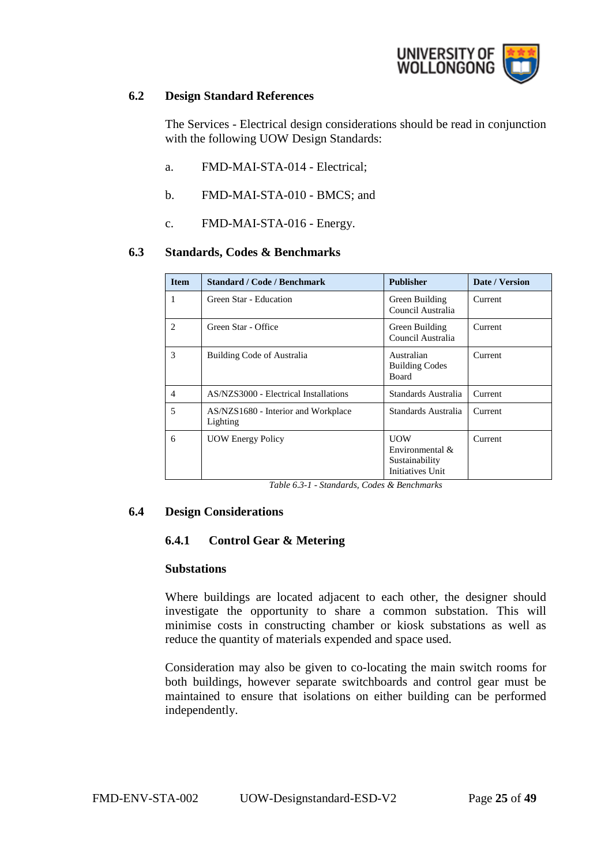

#### <span id="page-24-0"></span>**6.2 Design Standard References**

The Services - Electrical design considerations should be read in conjunction with the following UOW Design Standards:

- a. FMD-MAI-STA-014 Electrical;
- b. FMD-MAI-STA-010 BMCS; and
- c. FMD-MAI-STA-016 Energy.

#### <span id="page-24-1"></span>**6.3 Standards, Codes & Benchmarks**

| <b>Item</b>    | <b>Standard / Code / Benchmark</b>              | <b>Publisher</b>                                                       | Date / Version |
|----------------|-------------------------------------------------|------------------------------------------------------------------------|----------------|
| 1              | Green Star - Education                          | Green Building<br>Council Australia                                    | Current        |
| 2              | Green Star - Office                             | Green Building<br>Council Australia                                    | Current        |
| 3              | Building Code of Australia                      | Australian<br><b>Building Codes</b><br><b>Board</b>                    | Current        |
| $\overline{4}$ | AS/NZS3000 - Electrical Installations           | Standards Australia                                                    | Current        |
| 5              | AS/NZS1680 - Interior and Workplace<br>Lighting | Standards Australia                                                    | Current        |
| 6              | <b>UOW Energy Policy</b>                        | <b>UOW</b><br>Environmental $\&$<br>Sustainability<br>Initiatives Unit | Current        |

*Table 6.3-1 - Standards, Codes & Benchmarks*

# <span id="page-24-3"></span><span id="page-24-2"></span>**6.4 Design Considerations**

# **6.4.1 Control Gear & Metering**

#### **Substations**

Where buildings are located adjacent to each other, the designer should investigate the opportunity to share a common substation. This will minimise costs in constructing chamber or kiosk substations as well as reduce the quantity of materials expended and space used.

Consideration may also be given to co-locating the main switch rooms for both buildings, however separate switchboards and control gear must be maintained to ensure that isolations on either building can be performed independently.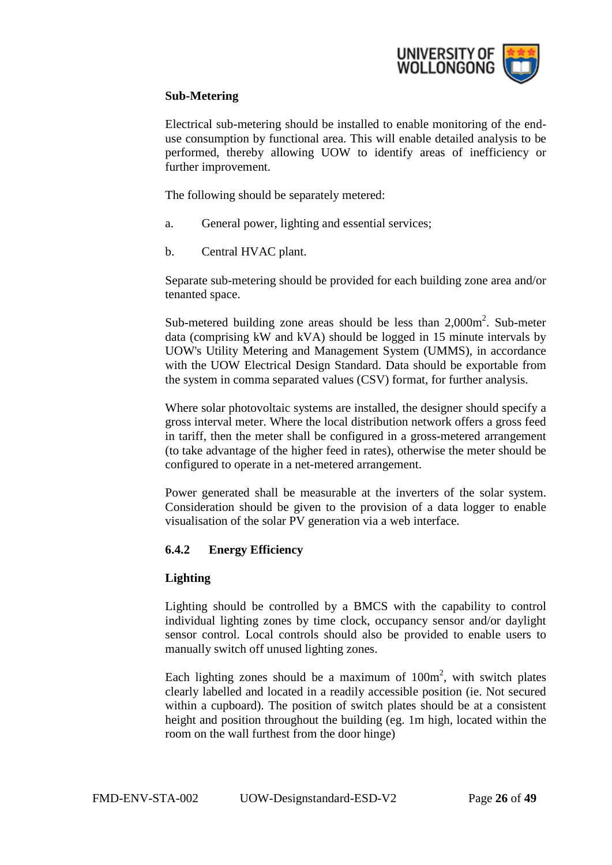

# **Sub-Metering**

Electrical sub-metering should be installed to enable monitoring of the enduse consumption by functional area. This will enable detailed analysis to be performed, thereby allowing UOW to identify areas of inefficiency or further improvement.

The following should be separately metered:

- a. General power, lighting and essential services;
- b. Central HVAC plant.

Separate sub-metering should be provided for each building zone area and/or tenanted space.

Sub-metered building zone areas should be less than  $2,000\,\text{m}^2$ . Sub-meter data (comprising kW and kVA) should be logged in 15 minute intervals by UOW's Utility Metering and Management System (UMMS), in accordance with the UOW Electrical Design Standard. Data should be exportable from the system in comma separated values (CSV) format, for further analysis.

Where solar photovoltaic systems are installed, the designer should specify a gross interval meter. Where the local distribution network offers a gross feed in tariff, then the meter shall be configured in a gross-metered arrangement (to take advantage of the higher feed in rates), otherwise the meter should be configured to operate in a net-metered arrangement.

Power generated shall be measurable at the inverters of the solar system. Consideration should be given to the provision of a data logger to enable visualisation of the solar PV generation via a web interface.

# <span id="page-25-0"></span>**6.4.2 Energy Efficiency**

#### **Lighting**

Lighting should be controlled by a BMCS with the capability to control individual lighting zones by time clock, occupancy sensor and/or daylight sensor control. Local controls should also be provided to enable users to manually switch off unused lighting zones.

Each lighting zones should be a maximum of  $100m^2$ , with switch plates clearly labelled and located in a readily accessible position (ie. Not secured within a cupboard). The position of switch plates should be at a consistent height and position throughout the building (eg. 1m high, located within the room on the wall furthest from the door hinge)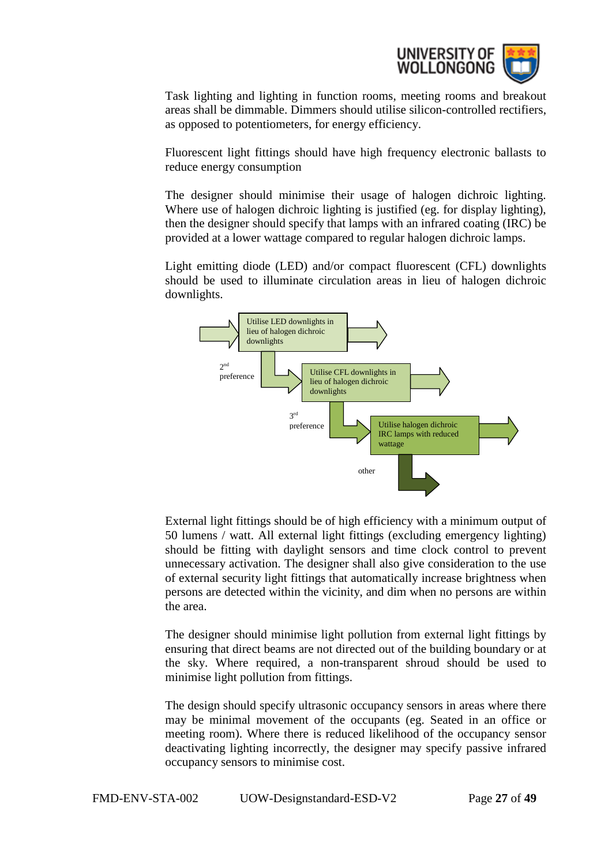

Task lighting and lighting in function rooms, meeting rooms and breakout areas shall be dimmable. Dimmers should utilise silicon-controlled rectifiers, as opposed to potentiometers, for energy efficiency.

Fluorescent light fittings should have high frequency electronic ballasts to reduce energy consumption

The designer should minimise their usage of halogen dichroic lighting. Where use of halogen dichroic lighting is justified (eg. for display lighting), then the designer should specify that lamps with an infrared coating (IRC) be provided at a lower wattage compared to regular halogen dichroic lamps.

Light emitting diode (LED) and/or compact fluorescent (CFL) downlights should be used to illuminate circulation areas in lieu of halogen dichroic downlights.



External light fittings should be of high efficiency with a minimum output of 50 lumens / watt. All external light fittings (excluding emergency lighting) should be fitting with daylight sensors and time clock control to prevent unnecessary activation. The designer shall also give consideration to the use of external security light fittings that automatically increase brightness when persons are detected within the vicinity, and dim when no persons are within the area.

The designer should minimise light pollution from external light fittings by ensuring that direct beams are not directed out of the building boundary or at the sky. Where required, a non-transparent shroud should be used to minimise light pollution from fittings.

The design should specify ultrasonic occupancy sensors in areas where there may be minimal movement of the occupants (eg. Seated in an office or meeting room). Where there is reduced likelihood of the occupancy sensor deactivating lighting incorrectly, the designer may specify passive infrared occupancy sensors to minimise cost.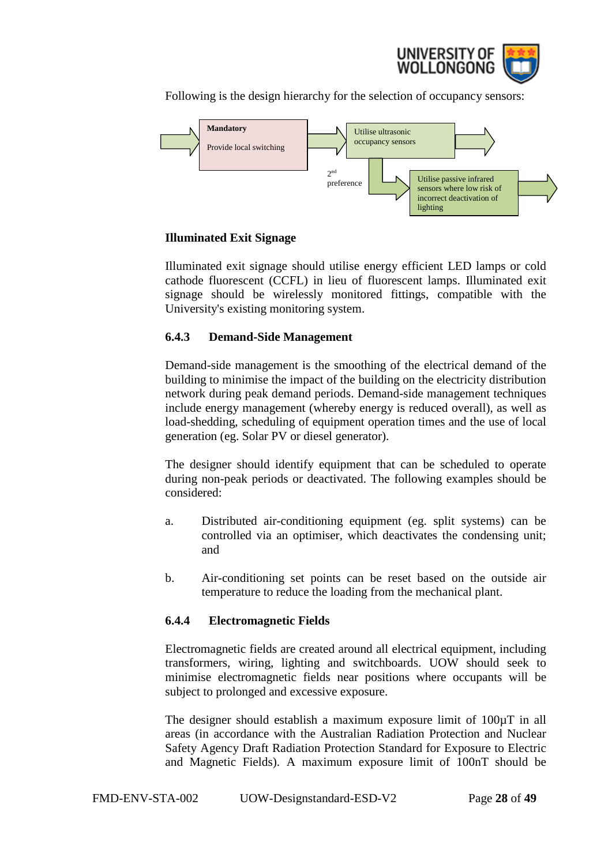

Following is the design hierarchy for the selection of occupancy sensors:



# **Illuminated Exit Signage**

Illuminated exit signage should utilise energy efficient LED lamps or cold cathode fluorescent (CCFL) in lieu of fluorescent lamps. Illuminated exit signage should be wirelessly monitored fittings, compatible with the University's existing monitoring system.

# <span id="page-27-0"></span>**6.4.3 Demand-Side Management**

Demand-side management is the smoothing of the electrical demand of the building to minimise the impact of the building on the electricity distribution network during peak demand periods. Demand-side management techniques include energy management (whereby energy is reduced overall), as well as load-shedding, scheduling of equipment operation times and the use of local generation (eg. Solar PV or diesel generator).

The designer should identify equipment that can be scheduled to operate during non-peak periods or deactivated. The following examples should be considered:

- a. Distributed air-conditioning equipment (eg. split systems) can be controlled via an optimiser, which deactivates the condensing unit; and
- b. Air-conditioning set points can be reset based on the outside air temperature to reduce the loading from the mechanical plant.

# <span id="page-27-1"></span>**6.4.4 Electromagnetic Fields**

Electromagnetic fields are created around all electrical equipment, including transformers, wiring, lighting and switchboards. UOW should seek to minimise electromagnetic fields near positions where occupants will be subject to prolonged and excessive exposure.

The designer should establish a maximum exposure limit of 100µT in all areas (in accordance with the Australian Radiation Protection and Nuclear Safety Agency Draft Radiation Protection Standard for Exposure to Electric and Magnetic Fields). A maximum exposure limit of 100nT should be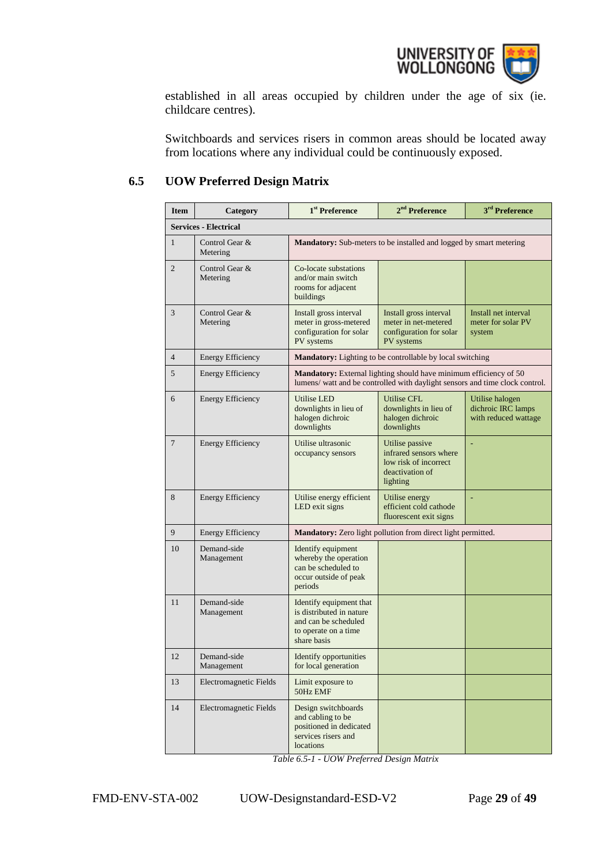

established in all areas occupied by children under the age of six (ie. childcare centres).

Switchboards and services risers in common areas should be located away from locations where any individual could be continuously exposed.

# <span id="page-28-0"></span>**6.5 UOW Preferred Design Matrix**

| <b>Item</b>    | Category                     | 1 <sup>st</sup> Preference                                                                                         | 2 <sup>nd</sup> Preference                                                                                                                               | 3 <sup>rd</sup> Preference                                    |
|----------------|------------------------------|--------------------------------------------------------------------------------------------------------------------|----------------------------------------------------------------------------------------------------------------------------------------------------------|---------------------------------------------------------------|
|                | <b>Services - Electrical</b> |                                                                                                                    |                                                                                                                                                          |                                                               |
| $\mathbf{1}$   | Control Gear &<br>Metering   |                                                                                                                    | <b>Mandatory:</b> Sub-meters to be installed and logged by smart metering                                                                                |                                                               |
| $\overline{2}$ | Control Gear &<br>Metering   | Co-locate substations<br>and/or main switch<br>rooms for adjacent<br>buildings                                     |                                                                                                                                                          |                                                               |
| 3              | Control Gear &<br>Metering   | Install gross interval<br>meter in gross-metered<br>configuration for solar<br>PV systems                          | Install gross interval<br>meter in net-metered<br>configuration for solar<br>PV systems                                                                  | Install net interval<br>meter for solar PV<br>system          |
| $\overline{4}$ | <b>Energy Efficiency</b>     |                                                                                                                    | <b>Mandatory:</b> Lighting to be controllable by local switching                                                                                         |                                                               |
| 5              | Energy Efficiency            |                                                                                                                    | <b>Mandatory:</b> External lighting should have minimum efficiency of 50<br>lumens/ watt and be controlled with daylight sensors and time clock control. |                                                               |
| 6              | <b>Energy Efficiency</b>     | <b>Utilise LED</b><br>downlights in lieu of<br>halogen dichroic<br>downlights                                      | <b>Utilise CFL</b><br>downlights in lieu of<br>halogen dichroic<br>downlights                                                                            | Utilise halogen<br>dichroic IRC lamps<br>with reduced wattage |
| $\overline{7}$ | <b>Energy Efficiency</b>     | Utilise ultrasonic<br>occupancy sensors                                                                            | Utilise passive<br>infrared sensors where<br>low risk of incorrect<br>deactivation of<br>lighting                                                        |                                                               |
| 8              | <b>Energy Efficiency</b>     | Utilise energy efficient<br>LED exit signs                                                                         | Utilise energy<br>efficient cold cathode<br>fluorescent exit signs                                                                                       |                                                               |
| 9              | <b>Energy Efficiency</b>     |                                                                                                                    | Mandatory: Zero light pollution from direct light permitted.                                                                                             |                                                               |
| 10             | Demand-side<br>Management    | Identify equipment<br>whereby the operation<br>can be scheduled to<br>occur outside of peak<br>periods             |                                                                                                                                                          |                                                               |
| 11             | Demand-side<br>Management    | Identify equipment that<br>is distributed in nature<br>and can be scheduled<br>to operate on a time<br>share basis |                                                                                                                                                          |                                                               |
| 12             | Demand-side<br>Management    | <b>Identify opportunities</b><br>for local generation                                                              |                                                                                                                                                          |                                                               |
| 13             | Electromagnetic Fields       | Limit exposure to<br>50Hz EMF                                                                                      |                                                                                                                                                          |                                                               |
| 14             | Electromagnetic Fields       | Design switchboards<br>and cabling to be<br>positioned in dedicated<br>services risers and<br>locations            |                                                                                                                                                          |                                                               |

*Table 6.5-1 - UOW Preferred Design Matrix*

FMD-ENV-STA-002 UOW-Designstandard-ESD-V2 Page **29** of **49**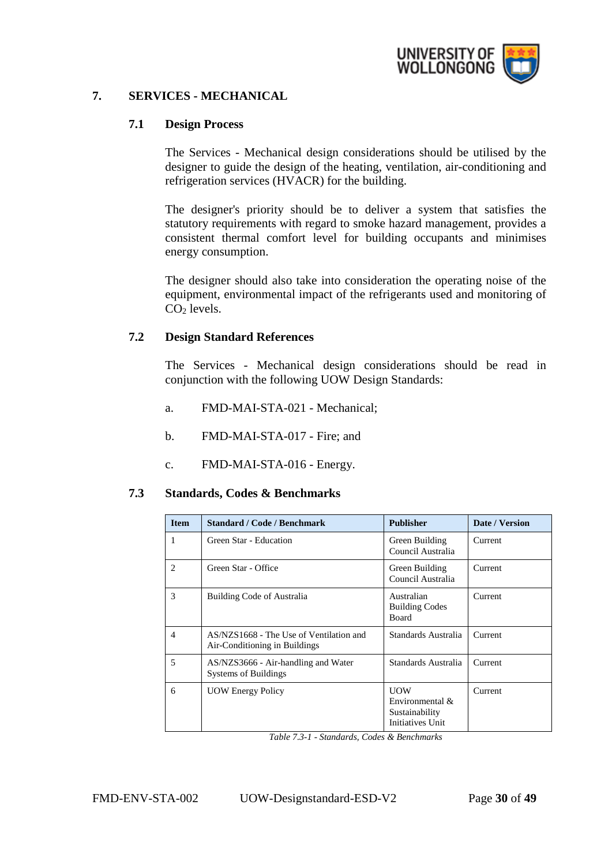

# <span id="page-29-1"></span><span id="page-29-0"></span>**7. SERVICES - MECHANICAL**

#### **7.1 Design Process**

The Services - Mechanical design considerations should be utilised by the designer to guide the design of the heating, ventilation, air-conditioning and refrigeration services (HVACR) for the building.

The designer's priority should be to deliver a system that satisfies the statutory requirements with regard to smoke hazard management, provides a consistent thermal comfort level for building occupants and minimises energy consumption.

The designer should also take into consideration the operating noise of the equipment, environmental impact of the refrigerants used and monitoring of  $CO<sub>2</sub>$  levels.

#### <span id="page-29-2"></span>**7.2 Design Standard References**

The Services - Mechanical design considerations should be read in conjunction with the following UOW Design Standards:

- a. FMD-MAI-STA-021 Mechanical;
- b. FMD-MAI-STA-017 Fire; and
- c. FMD-MAI-STA-016 Energy.

#### <span id="page-29-3"></span>**7.3 Standards, Codes & Benchmarks**

| <b>Item</b> | <b>Standard / Code / Benchmark</b>                                       | <b>Publisher</b>                                                       | Date / Version |
|-------------|--------------------------------------------------------------------------|------------------------------------------------------------------------|----------------|
| 1           | Green Star - Education                                                   | Green Building<br>Council Australia                                    | Current        |
| 2           | Green Star - Office                                                      | Green Building<br>Council Australia                                    | Current        |
| 3           | Building Code of Australia                                               | Australian<br><b>Building Codes</b><br><b>Board</b>                    | Current        |
| 4           | AS/NZS1668 - The Use of Ventilation and<br>Air-Conditioning in Buildings | Standards Australia                                                    | Current        |
| 5           | AS/NZS3666 - Air-handling and Water<br><b>Systems of Buildings</b>       | Standards Australia                                                    | Current        |
| 6           | <b>UOW Energy Policy</b>                                                 | <b>UOW</b><br>Environmental $\&$<br>Sustainability<br>Initiatives Unit | Current        |

*Table 7.3-1 - Standards, Codes & Benchmarks*

FMD-ENV-STA-002 UOW-Designstandard-ESD-V2 Page **30** of **49**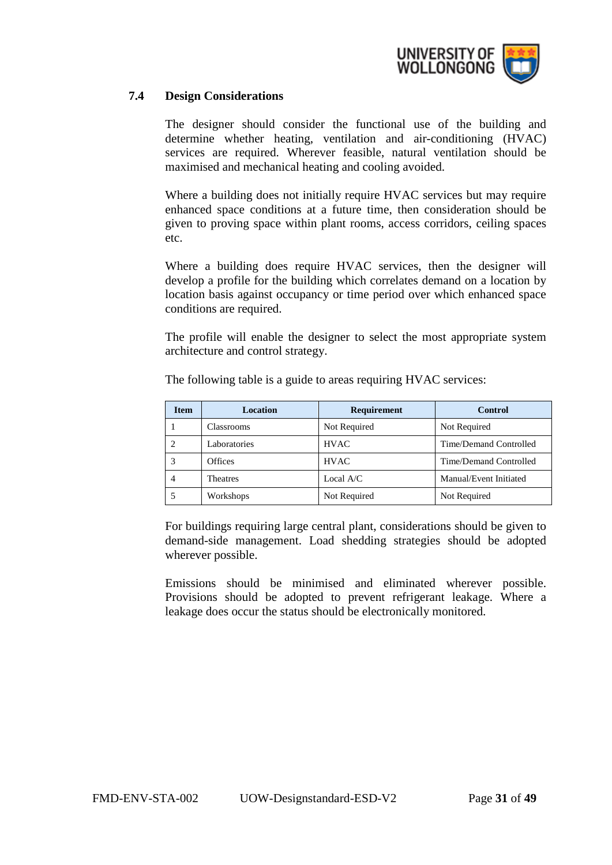

# <span id="page-30-0"></span>**7.4 Design Considerations**

The designer should consider the functional use of the building and determine whether heating, ventilation and air-conditioning (HVAC) services are required. Wherever feasible, natural ventilation should be maximised and mechanical heating and cooling avoided.

Where a building does not initially require HVAC services but may require enhanced space conditions at a future time, then consideration should be given to proving space within plant rooms, access corridors, ceiling spaces etc.

Where a building does require HVAC services, then the designer will develop a profile for the building which correlates demand on a location by location basis against occupancy or time period over which enhanced space conditions are required.

The profile will enable the designer to select the most appropriate system architecture and control strategy.

| <b>Item</b> | <b>Location</b> | Requirement  | <b>Control</b>         |
|-------------|-----------------|--------------|------------------------|
|             | Classrooms      | Not Required | Not Required           |
| 2           | Laboratories    | <b>HVAC</b>  | Time/Demand Controlled |
| 3           | <b>Offices</b>  | <b>HVAC</b>  | Time/Demand Controlled |
| 4           | <b>Theatres</b> | Local $A/C$  | Manual/Event Initiated |
|             | Workshops       | Not Required | Not Required           |

The following table is a guide to areas requiring HVAC services:

For buildings requiring large central plant, considerations should be given to demand-side management. Load shedding strategies should be adopted wherever possible.

Emissions should be minimised and eliminated wherever possible. Provisions should be adopted to prevent refrigerant leakage. Where a leakage does occur the status should be electronically monitored.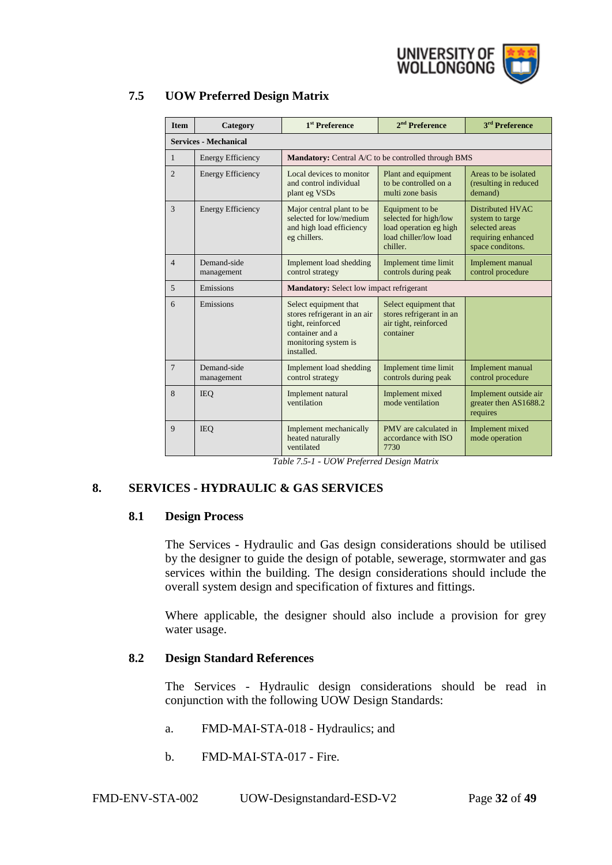

| <b>Item</b>     | Category                     | 1 <sup>st</sup> Preference                                                                                                                                                                                  | $2nd$ Preference                                                                        | 3 <sup>rd</sup> Preference                                                                      |
|-----------------|------------------------------|-------------------------------------------------------------------------------------------------------------------------------------------------------------------------------------------------------------|-----------------------------------------------------------------------------------------|-------------------------------------------------------------------------------------------------|
|                 | <b>Services - Mechanical</b> |                                                                                                                                                                                                             |                                                                                         |                                                                                                 |
| $\mathbf{1}$    | <b>Energy Efficiency</b>     | Mandatory: Central A/C to be controlled through BMS                                                                                                                                                         |                                                                                         |                                                                                                 |
| $\overline{2}$  | <b>Energy Efficiency</b>     | Local devices to monitor<br>and control individual<br>plant eg VSDs                                                                                                                                         | Plant and equipment<br>to be controlled on a<br>multi zone basis                        | Areas to be isolated<br>(resulting in reduced<br>demand)                                        |
| 3               | <b>Energy Efficiency</b>     | Major central plant to be<br>Equipment to be<br>selected for low/medium<br>selected for high/low<br>and high load efficiency<br>load operation eg high<br>load chiller/low load<br>eg chillers.<br>chiller. |                                                                                         | Distributed HVAC<br>system to targe<br>selected areas<br>requiring enhanced<br>space conditons. |
| $\overline{4}$  | Demand-side<br>management    | Implement load shedding<br>control strategy                                                                                                                                                                 | <b>Implement time limit</b><br>controls during peak                                     | Implement manual<br>control procedure                                                           |
| 5               | Emissions                    | <b>Mandatory:</b> Select low impact refrigerant                                                                                                                                                             |                                                                                         |                                                                                                 |
| 6               | Emissions                    | Select equipment that<br>stores refrigerant in an air<br>tight, reinforced<br>container and a<br>monitoring system is<br>installed.                                                                         | Select equipment that<br>stores refrigerant in an<br>air tight, reinforced<br>container |                                                                                                 |
| $7\phantom{.0}$ | Demand-side<br>management    | Implement load shedding<br>control strategy                                                                                                                                                                 | <b>Implement time limit</b><br>controls during peak                                     | Implement manual<br>control procedure                                                           |
| 8               | <b>IEO</b>                   | Implement natural<br>ventilation                                                                                                                                                                            | Implement mixed<br>mode ventilation                                                     | Implement outside air<br>greater then AS1688.2<br>requires                                      |
| 9               | <b>IEO</b>                   | Implement mechanically<br>heated naturally<br>ventilated                                                                                                                                                    | PMV are calculated in<br>accordance with ISO<br>7730                                    | Implement mixed<br>mode operation                                                               |

# <span id="page-31-0"></span>**7.5 UOW Preferred Design Matrix**

*Table 7.5-1 - UOW Preferred Design Matrix*

# <span id="page-31-2"></span><span id="page-31-1"></span>**8. SERVICES - HYDRAULIC & GAS SERVICES**

#### **8.1 Design Process**

The Services - Hydraulic and Gas design considerations should be utilised by the designer to guide the design of potable, sewerage, stormwater and gas services within the building. The design considerations should include the overall system design and specification of fixtures and fittings.

Where applicable, the designer should also include a provision for grey water usage.

#### <span id="page-31-3"></span>**8.2 Design Standard References**

The Services - Hydraulic design considerations should be read in conjunction with the following UOW Design Standards:

- a. FMD-MAI-STA-018 Hydraulics; and
- b. FMD-MAI-STA-017 Fire.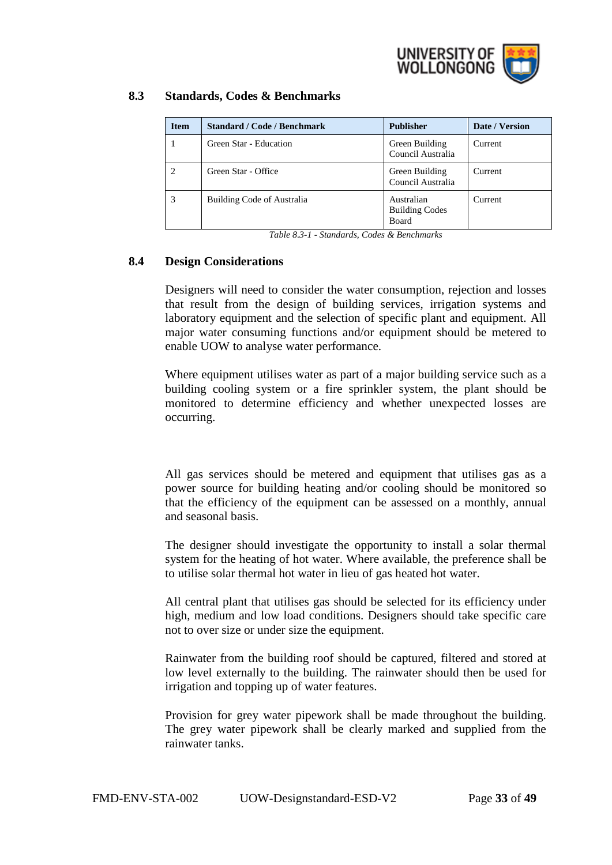

# <span id="page-32-0"></span>**8.3 Standards, Codes & Benchmarks**

| <b>Item</b> | <b>Standard / Code / Benchmark</b> | <b>Publisher</b>                                    | Date / Version |
|-------------|------------------------------------|-----------------------------------------------------|----------------|
|             | Green Star - Education             | Green Building<br>Council Australia                 | Current        |
| 2           | Green Star - Office                | Green Building<br>Council Australia                 | Current        |
|             | Building Code of Australia         | Australian<br><b>Building Codes</b><br><b>Board</b> | Current        |

*Table 8.3-1 - Standards, Codes & Benchmarks*

# <span id="page-32-1"></span>**8.4 Design Considerations**

Designers will need to consider the water consumption, rejection and losses that result from the design of building services, irrigation systems and laboratory equipment and the selection of specific plant and equipment. All major water consuming functions and/or equipment should be metered to enable UOW to analyse water performance.

Where equipment utilises water as part of a major building service such as a building cooling system or a fire sprinkler system, the plant should be monitored to determine efficiency and whether unexpected losses are occurring.

All gas services should be metered and equipment that utilises gas as a power source for building heating and/or cooling should be monitored so that the efficiency of the equipment can be assessed on a monthly, annual and seasonal basis.

The designer should investigate the opportunity to install a solar thermal system for the heating of hot water. Where available, the preference shall be to utilise solar thermal hot water in lieu of gas heated hot water.

All central plant that utilises gas should be selected for its efficiency under high, medium and low load conditions. Designers should take specific care not to over size or under size the equipment.

Rainwater from the building roof should be captured, filtered and stored at low level externally to the building. The rainwater should then be used for irrigation and topping up of water features.

Provision for grey water pipework shall be made throughout the building. The grey water pipework shall be clearly marked and supplied from the rainwater tanks.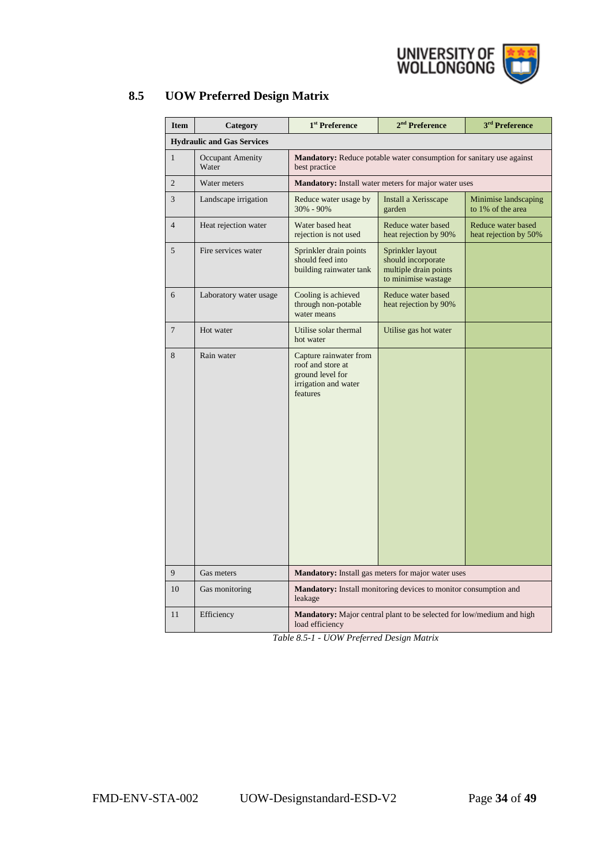

| <b>Item</b>    | Category                          | 1 <sup>st</sup> Preference                                                                          | 2 <sup>nd</sup> Preference                                                             | 3 <sup>rd</sup> Preference                  |  |
|----------------|-----------------------------------|-----------------------------------------------------------------------------------------------------|----------------------------------------------------------------------------------------|---------------------------------------------|--|
|                | <b>Hydraulic and Gas Services</b> |                                                                                                     |                                                                                        |                                             |  |
| $\mathbf{1}$   | <b>Occupant Amenity</b><br>Water  | <b>Mandatory:</b> Reduce potable water consumption for sanitary use against<br>best practice        |                                                                                        |                                             |  |
| $\overline{2}$ | Water meters                      |                                                                                                     | <b>Mandatory:</b> Install water meters for major water uses                            |                                             |  |
| 3              | Landscape irrigation              | Reduce water usage by<br>30% - 90%                                                                  | Install a Xerisscape<br>garden                                                         | Minimise landscaping<br>to 1% of the area   |  |
| $\overline{4}$ | Heat rejection water              | Water based heat<br>rejection is not used                                                           | Reduce water based<br>heat rejection by 90%                                            | Reduce water based<br>heat rejection by 50% |  |
| 5              | Fire services water               | Sprinkler drain points<br>should feed into<br>building rainwater tank                               | Sprinkler layout<br>should incorporate<br>multiple drain points<br>to minimise wastage |                                             |  |
| 6              | Laboratory water usage            | Cooling is achieved<br>through non-potable<br>water means                                           | Reduce water based<br>heat rejection by 90%                                            |                                             |  |
| $\overline{7}$ | Hot water                         | Utilise solar thermal<br>hot water                                                                  | Utilise gas hot water                                                                  |                                             |  |
| 8              | Rain water                        | Capture rainwater from<br>roof and store at<br>ground level for<br>irrigation and water<br>features |                                                                                        |                                             |  |
| 9              | Gas meters                        |                                                                                                     | <b>Mandatory:</b> Install gas meters for major water uses                              |                                             |  |
| 10             | Gas monitoring                    | Mandatory: Install monitoring devices to monitor consumption and<br>leakage                         |                                                                                        |                                             |  |
| 11             | Efficiency                        | <b>Mandatory:</b> Major central plant to be selected for low/medium and high<br>load efficiency     |                                                                                        |                                             |  |

# <span id="page-33-0"></span>**8.5 UOW Preferred Design Matrix**

*Table 8.5-1 - UOW Preferred Design Matrix*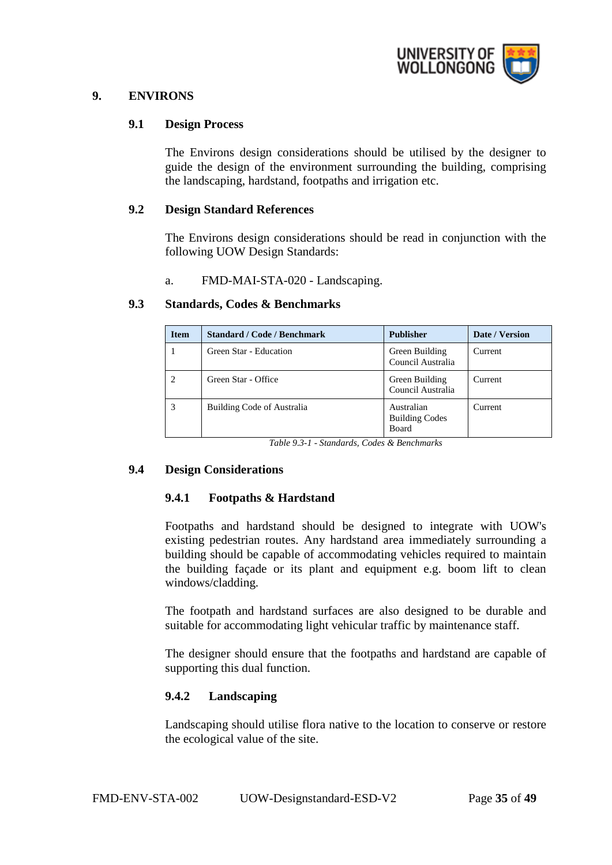

#### <span id="page-34-1"></span><span id="page-34-0"></span>**9. ENVIRONS**

#### **9.1 Design Process**

The Environs design considerations should be utilised by the designer to guide the design of the environment surrounding the building, comprising the landscaping, hardstand, footpaths and irrigation etc.

#### <span id="page-34-2"></span>**9.2 Design Standard References**

The Environs design considerations should be read in conjunction with the following UOW Design Standards:

a. FMD-MAI-STA-020 - Landscaping.

| <b>Item</b> | <b>Standard / Code / Benchmark</b> | <b>Publisher</b>                                    | Date / Version |
|-------------|------------------------------------|-----------------------------------------------------|----------------|
|             | Green Star - Education             | Green Building<br>Council Australia                 | Current        |
|             | Green Star - Office                | Green Building<br>Council Australia                 | Current        |
|             | Building Code of Australia         | Australian<br><b>Building Codes</b><br><b>Board</b> | Current        |

#### <span id="page-34-3"></span>**9.3 Standards, Codes & Benchmarks**

*Table 9.3-1 - Standards, Codes & Benchmarks*

#### <span id="page-34-5"></span><span id="page-34-4"></span>**9.4 Design Considerations**

#### **9.4.1 Footpaths & Hardstand**

Footpaths and hardstand should be designed to integrate with UOW's existing pedestrian routes. Any hardstand area immediately surrounding a building should be capable of accommodating vehicles required to maintain the building façade or its plant and equipment e.g. boom lift to clean windows/cladding.

The footpath and hardstand surfaces are also designed to be durable and suitable for accommodating light vehicular traffic by maintenance staff.

The designer should ensure that the footpaths and hardstand are capable of supporting this dual function.

#### <span id="page-34-6"></span>**9.4.2 Landscaping**

Landscaping should utilise flora native to the location to conserve or restore the ecological value of the site.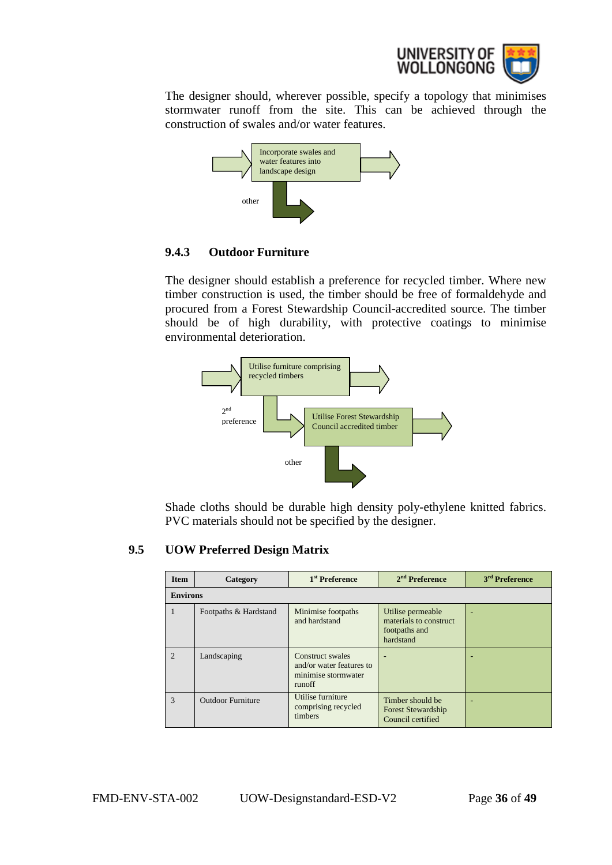

The designer should, wherever possible, specify a topology that minimises stormwater runoff from the site. This can be achieved through the construction of swales and/or water features.



## <span id="page-35-0"></span>**9.4.3 Outdoor Furniture**

The designer should establish a preference for recycled timber. Where new timber construction is used, the timber should be free of formaldehyde and procured from a Forest Stewardship Council-accredited source. The timber should be of high durability, with protective coatings to minimise environmental deterioration.



Shade cloths should be durable high density poly-ethylene knitted fabrics. PVC materials should not be specified by the designer.

# <span id="page-35-1"></span>**9.5 UOW Preferred Design Matrix**

| <b>Item</b>     | Category                 | 1 <sup>st</sup> Preference                                                    | $2nd$ Preference                                                           | 3 <sup>rd</sup> Preference |
|-----------------|--------------------------|-------------------------------------------------------------------------------|----------------------------------------------------------------------------|----------------------------|
| <b>Environs</b> |                          |                                                                               |                                                                            |                            |
|                 | Footpaths & Hardstand    | Minimise footpaths<br>and hardstand                                           | Utilise permeable<br>materials to construct.<br>footpaths and<br>hardstand |                            |
| $\mathcal{D}$   | Landscaping              | Construct swales<br>and/or water features to<br>minimise stormwater<br>runoff |                                                                            |                            |
| $\mathcal{R}$   | <b>Outdoor Furniture</b> | Utilise furniture<br>comprising recycled<br>timbers                           | Timber should be<br><b>Forest Stewardship</b><br>Council certified         |                            |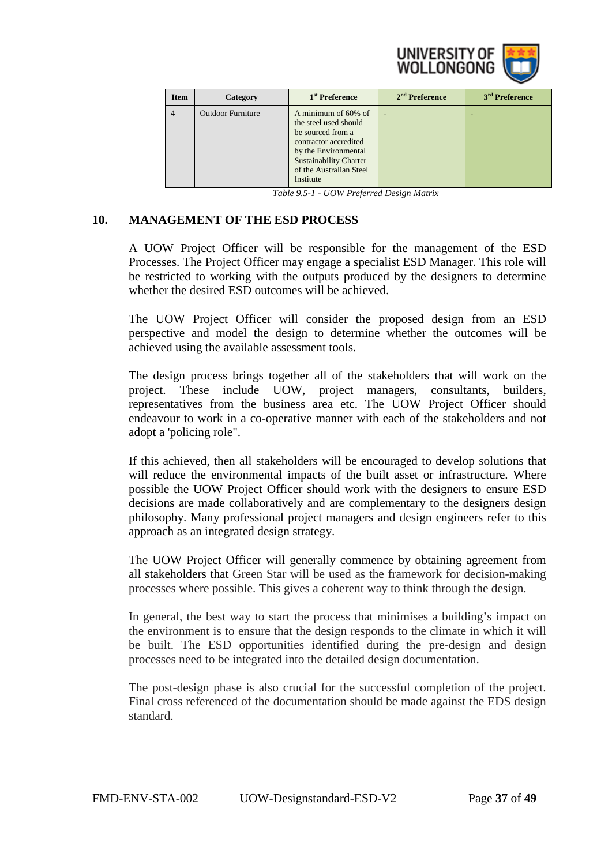

| <b>Item</b> | Category                 | 1 <sup>st</sup> Preference                                                                                                                                                                  | $2nd$ Preference | 3 <sup>rd</sup> Preference |
|-------------|--------------------------|---------------------------------------------------------------------------------------------------------------------------------------------------------------------------------------------|------------------|----------------------------|
| 4           | <b>Outdoor Furniture</b> | A minimum of 60% of<br>the steel used should<br>be sourced from a<br>contractor accredited<br>by the Environmental<br><b>Sustainability Charter</b><br>of the Australian Steel<br>Institute | ۰                |                            |

*Table 9.5-1 - UOW Preferred Design Matrix*

## <span id="page-36-0"></span>**10. MANAGEMENT OF THE ESD PROCESS**

A UOW Project Officer will be responsible for the management of the ESD Processes. The Project Officer may engage a specialist ESD Manager. This role will be restricted to working with the outputs produced by the designers to determine whether the desired ESD outcomes will be achieved.

The UOW Project Officer will consider the proposed design from an ESD perspective and model the design to determine whether the outcomes will be achieved using the available assessment tools.

The design process brings together all of the stakeholders that will work on the project. These include UOW, project managers, consultants, builders, representatives from the business area etc. The UOW Project Officer should endeavour to work in a co-operative manner with each of the stakeholders and not adopt a 'policing role".

If this achieved, then all stakeholders will be encouraged to develop solutions that will reduce the environmental impacts of the built asset or infrastructure. Where possible the UOW Project Officer should work with the designers to ensure ESD decisions are made collaboratively and are complementary to the designers design philosophy. Many professional project managers and design engineers refer to this approach as an integrated design strategy.

The UOW Project Officer will generally commence by obtaining agreement from all stakeholders that Green Star will be used as the framework for decision-making processes where possible. This gives a coherent way to think through the design.

In general, the best way to start the process that minimises a building's impact on the environment is to ensure that the design responds to the climate in which it will be built. The ESD opportunities identified during the pre-design and design processes need to be integrated into the detailed design documentation.

The post-design phase is also crucial for the successful completion of the project. Final cross referenced of the documentation should be made against the EDS design standard.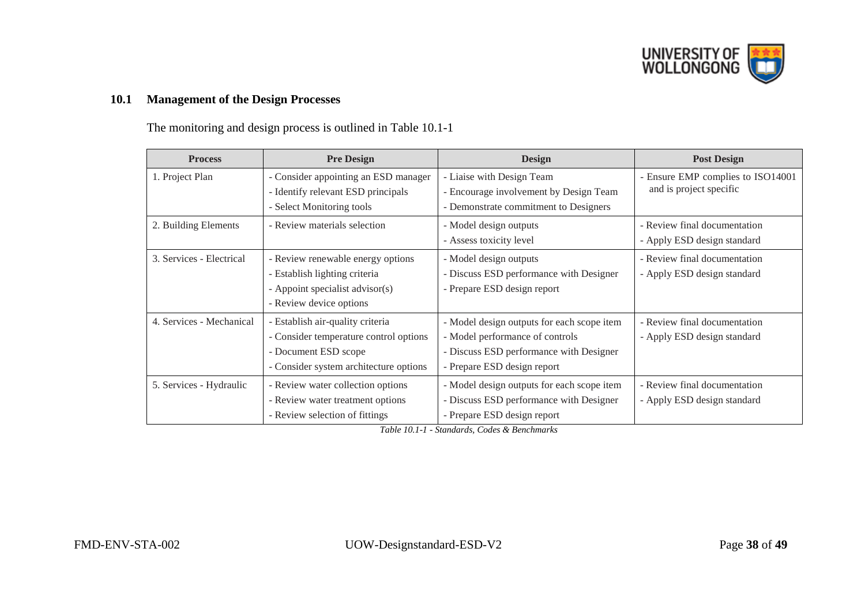

# **10.1 Management of the Design Processes**

The monitoring and design process is outlined in Table 10.1-1

<span id="page-37-0"></span>

| <b>Process</b>           | <b>Pre Design</b>                                                                                                                            | <b>Design</b>                                                                                                                                           | <b>Post Design</b>                                           |
|--------------------------|----------------------------------------------------------------------------------------------------------------------------------------------|---------------------------------------------------------------------------------------------------------------------------------------------------------|--------------------------------------------------------------|
| 1. Project Plan          | - Consider appointing an ESD manager<br>- Identify relevant ESD principals<br>- Select Monitoring tools                                      | - Liaise with Design Team<br>- Encourage involvement by Design Team<br>- Demonstrate commitment to Designers                                            | - Ensure EMP complies to ISO14001<br>and is project specific |
| 2. Building Elements     | - Review materials selection                                                                                                                 | - Model design outputs<br>- Assess toxicity level                                                                                                       | - Review final documentation<br>- Apply ESD design standard  |
| 3. Services - Electrical | - Review renewable energy options<br>- Establish lighting criteria<br>- Appoint specialist advisor(s)<br>- Review device options             | - Model design outputs<br>- Discuss ESD performance with Designer<br>- Prepare ESD design report                                                        | - Review final documentation<br>- Apply ESD design standard  |
| 4. Services - Mechanical | - Establish air-quality criteria<br>- Consider temperature control options<br>- Document ESD scope<br>- Consider system architecture options | - Model design outputs for each scope item<br>- Model performance of controls<br>- Discuss ESD performance with Designer<br>- Prepare ESD design report | - Review final documentation<br>- Apply ESD design standard  |
| 5. Services - Hydraulic  | - Review water collection options<br>- Review water treatment options<br>- Review selection of fittings                                      | - Model design outputs for each scope item<br>- Discuss ESD performance with Designer<br>- Prepare ESD design report                                    | - Review final documentation<br>- Apply ESD design standard  |

*Table 10.1-1 - Standards, Codes & Benchmarks*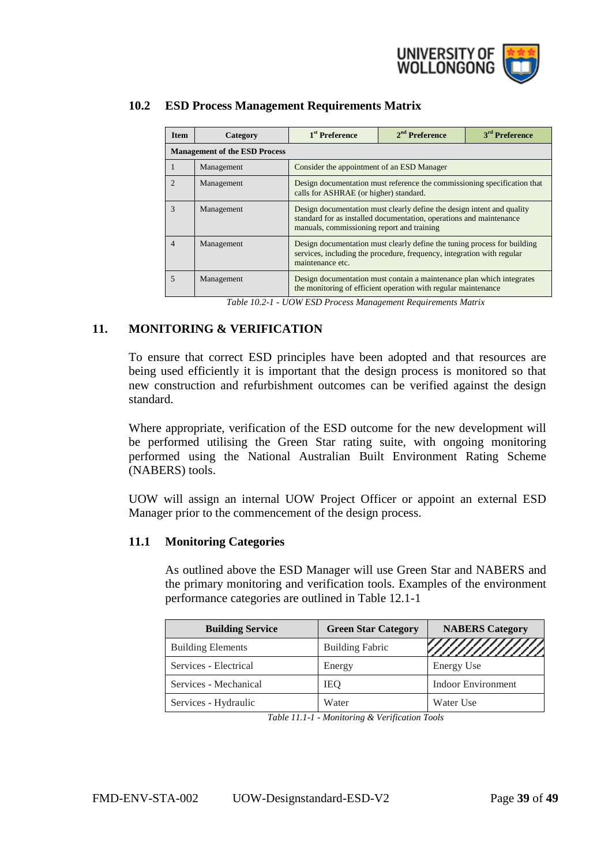

| <b>Item</b>    | Category                             | 1 <sup>st</sup> Preference                                                                                                                                                                  | $2nd$ Preference | 3 <sup>rd</sup> Preference |  |  |
|----------------|--------------------------------------|---------------------------------------------------------------------------------------------------------------------------------------------------------------------------------------------|------------------|----------------------------|--|--|
|                | <b>Management of the ESD Process</b> |                                                                                                                                                                                             |                  |                            |  |  |
| -1             | Management                           | Consider the appointment of an ESD Manager                                                                                                                                                  |                  |                            |  |  |
| $\mathfrak{D}$ | Management                           | Design documentation must reference the commissioning specification that<br>calls for ASHRAE (or higher) standard.                                                                          |                  |                            |  |  |
| 3              | Management                           | Design documentation must clearly define the design intent and quality<br>standard for as installed documentation, operations and maintenance<br>manuals, commissioning report and training |                  |                            |  |  |
| $\overline{4}$ | Management                           | Design documentation must clearly define the tuning process for building<br>services, including the procedure, frequency, integration with regular<br>maintenance etc.                      |                  |                            |  |  |
| $\overline{5}$ | Management                           | Design documentation must contain a maintenance plan which integrates<br>the monitoring of efficient operation with regular maintenance                                                     |                  |                            |  |  |

# <span id="page-38-0"></span>**10.2 ESD Process Management Requirements Matrix**

*Table 10.2-1 - UOW ESD Process Management Requirements Matrix*

## <span id="page-38-1"></span>**11. MONITORING & VERIFICATION**

To ensure that correct ESD principles have been adopted and that resources are being used efficiently it is important that the design process is monitored so that new construction and refurbishment outcomes can be verified against the design standard.

Where appropriate, verification of the ESD outcome for the new development will be performed utilising the Green Star rating suite, with ongoing monitoring performed using the National Australian Built Environment Rating Scheme (NABERS) tools.

UOW will assign an internal UOW Project Officer or appoint an external ESD Manager prior to the commencement of the design process.

#### <span id="page-38-2"></span>**11.1 Monitoring Categories**

As outlined above the ESD Manager will use Green Star and NABERS and the primary monitoring and verification tools. Examples of the environment performance categories are outlined in Table 12.1-1

| <b>Building Service</b>  | <b>Green Star Category</b> | <b>NABERS Category</b>    |
|--------------------------|----------------------------|---------------------------|
| <b>Building Elements</b> | <b>Building Fabric</b>     | ,,,,,,,,,,,,,,,,,,        |
| Services - Electrical    | Energy                     | <b>Energy Use</b>         |
| Services - Mechanical    | <b>IEQ</b>                 | <b>Indoor Environment</b> |
| Services - Hydraulic     | Water                      | Water Use                 |

*Table 11.1-1 - Monitoring & Verification Tools*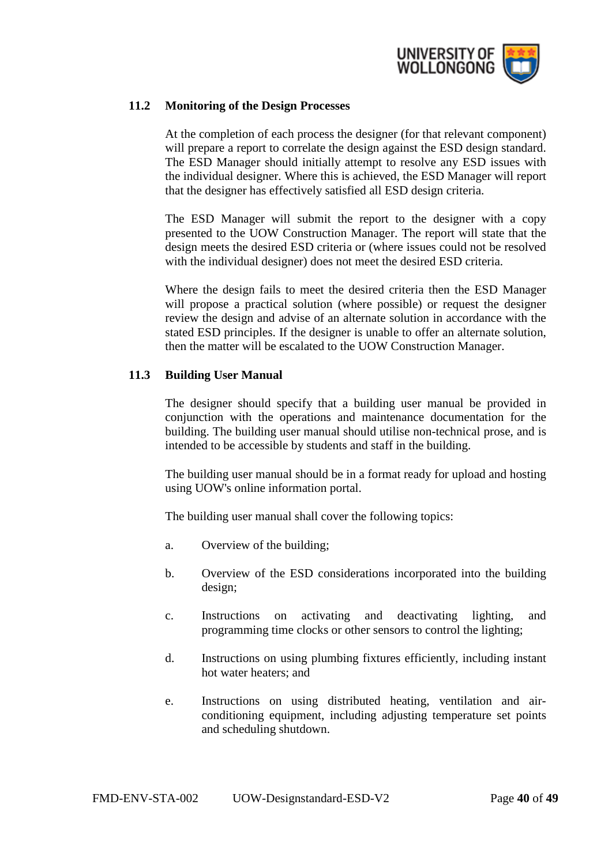

#### <span id="page-39-0"></span>**11.2 Monitoring of the Design Processes**

At the completion of each process the designer (for that relevant component) will prepare a report to correlate the design against the ESD design standard. The ESD Manager should initially attempt to resolve any ESD issues with the individual designer. Where this is achieved, the ESD Manager will report that the designer has effectively satisfied all ESD design criteria.

The ESD Manager will submit the report to the designer with a copy presented to the UOW Construction Manager. The report will state that the design meets the desired ESD criteria or (where issues could not be resolved with the individual designer) does not meet the desired ESD criteria.

Where the design fails to meet the desired criteria then the ESD Manager will propose a practical solution (where possible) or request the designer review the design and advise of an alternate solution in accordance with the stated ESD principles. If the designer is unable to offer an alternate solution, then the matter will be escalated to the UOW Construction Manager.

## <span id="page-39-1"></span>**11.3 Building User Manual**

The designer should specify that a building user manual be provided in conjunction with the operations and maintenance documentation for the building. The building user manual should utilise non-technical prose, and is intended to be accessible by students and staff in the building.

The building user manual should be in a format ready for upload and hosting using UOW's online information portal.

The building user manual shall cover the following topics:

- a. Overview of the building;
- b. Overview of the ESD considerations incorporated into the building design;
- c. Instructions on activating and deactivating lighting, and programming time clocks or other sensors to control the lighting;
- d. Instructions on using plumbing fixtures efficiently, including instant hot water heaters; and
- e. Instructions on using distributed heating, ventilation and airconditioning equipment, including adjusting temperature set points and scheduling shutdown.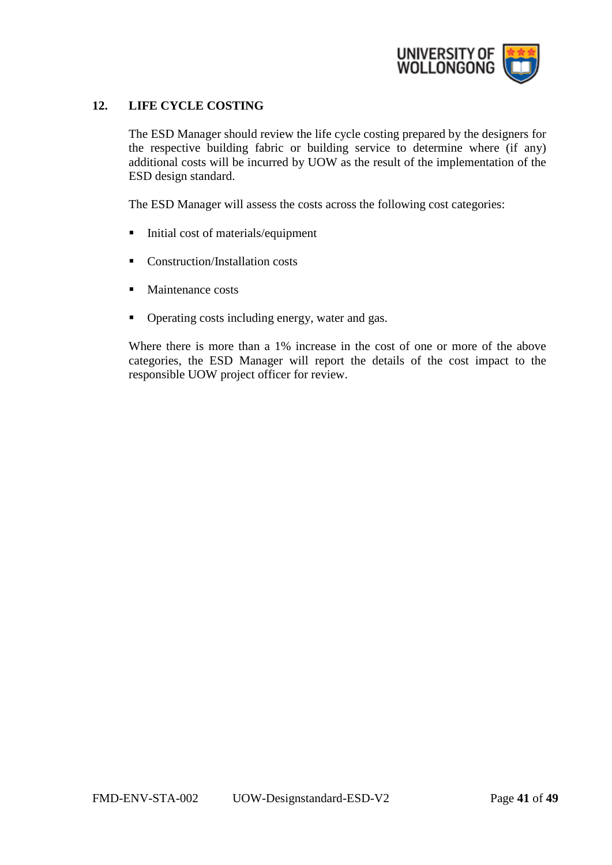

# <span id="page-40-0"></span>**12. LIFE CYCLE COSTING**

The ESD Manager should review the life cycle costing prepared by the designers for the respective building fabric or building service to determine where (if any) additional costs will be incurred by UOW as the result of the implementation of the ESD design standard.

The ESD Manager will assess the costs across the following cost categories:

- Initial cost of materials/equipment
- Construction/Installation costs
- Maintenance costs
- Operating costs including energy, water and gas.

Where there is more than a 1% increase in the cost of one or more of the above categories, the ESD Manager will report the details of the cost impact to the responsible UOW project officer for review.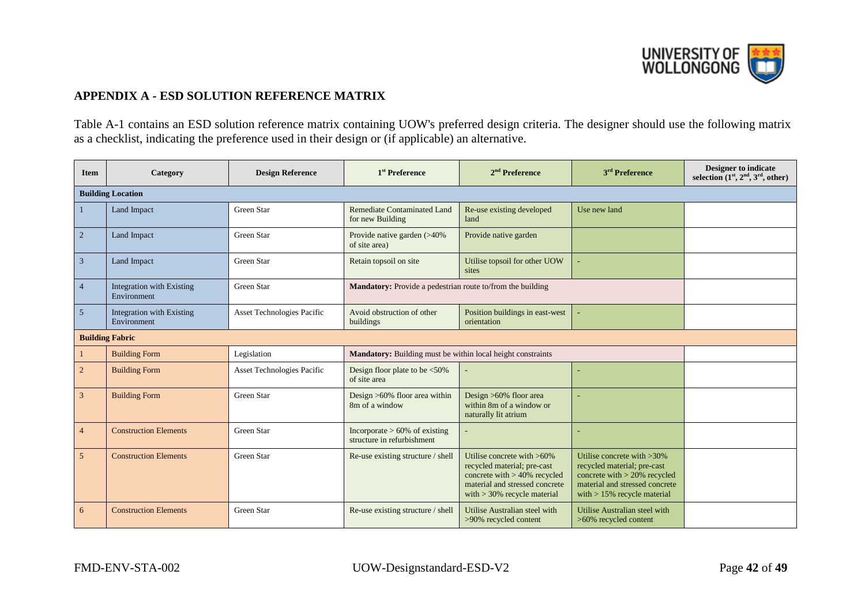

# **APPENDIX A - ESD SOLUTION REFERENCE MATRIX**

Table A-1 contains an ESD solution reference matrix containing UOW's preferred design criteria. The designer should use the following matrix as a checklist, indicating the preference used in their design or (if applicable) an alternative.

<span id="page-41-0"></span>

| <b>Item</b>    | Category                                        | <b>Design Reference</b>    | 1 <sup>st</sup> Preference                                     | $2nd$ Preference                                                                                                                                                | 3 <sup>rd</sup> Preference                                                                                                                                         | <b>Designer to indicate</b><br>selection $(1st, 2nd, 3rd, other)$ |
|----------------|-------------------------------------------------|----------------------------|----------------------------------------------------------------|-----------------------------------------------------------------------------------------------------------------------------------------------------------------|--------------------------------------------------------------------------------------------------------------------------------------------------------------------|-------------------------------------------------------------------|
|                | <b>Building Location</b>                        |                            |                                                                |                                                                                                                                                                 |                                                                                                                                                                    |                                                                   |
| $\mathbf{1}$   | Land Impact                                     | Green Star                 | Remediate Contaminated Land<br>for new Building                | Re-use existing developed<br>land                                                                                                                               | Use new land                                                                                                                                                       |                                                                   |
| 2              | Land Impact                                     | Green Star                 | Provide native garden (>40%<br>of site area)                   | Provide native garden                                                                                                                                           |                                                                                                                                                                    |                                                                   |
| 3              | Land Impact                                     | Green Star                 | Retain topsoil on site                                         | Utilise topsoil for other UOW<br>sites                                                                                                                          |                                                                                                                                                                    |                                                                   |
| $\overline{4}$ | <b>Integration with Existing</b><br>Environment | Green Star                 | Mandatory: Provide a pedestrian route to/from the building     |                                                                                                                                                                 |                                                                                                                                                                    |                                                                   |
| 5              | Integration with Existing<br>Environment        | Asset Technologies Pacific | Avoid obstruction of other<br>buildings                        | Position buildings in east-west<br>orientation                                                                                                                  |                                                                                                                                                                    |                                                                   |
|                | <b>Building Fabric</b>                          |                            |                                                                |                                                                                                                                                                 |                                                                                                                                                                    |                                                                   |
|                | <b>Building Form</b>                            | Legislation                | Mandatory: Building must be within local height constraints    |                                                                                                                                                                 |                                                                                                                                                                    |                                                                   |
| $\overline{2}$ | <b>Building Form</b>                            | Asset Technologies Pacific | Design floor plate to be $\leq 50\%$<br>of site area           |                                                                                                                                                                 |                                                                                                                                                                    |                                                                   |
| 3              | <b>Building Form</b>                            | Green Star                 | Design $>60\%$ floor area within<br>8m of a window             | Design >60% floor area<br>within 8m of a window or<br>naturally lit atrium                                                                                      |                                                                                                                                                                    |                                                                   |
| $\overline{4}$ | <b>Construction Elements</b>                    | Green Star                 | Incorporate $> 60\%$ of existing<br>structure in refurbishment |                                                                                                                                                                 |                                                                                                                                                                    |                                                                   |
| 5              | <b>Construction Elements</b>                    | Green Star                 | Re-use existing structure / shell                              | Utilise concrete with >60%<br>recycled material; pre-cast<br>concrete with $> 40\%$ recycled<br>material and stressed concrete<br>with $>$ 30% recycle material | Utilise concrete with $>30\%$<br>recycled material; pre-cast<br>concrete with $>$ 20% recycled<br>material and stressed concrete<br>with $> 15\%$ recycle material |                                                                   |
| 6              | <b>Construction Elements</b>                    | Green Star                 | Re-use existing structure / shell                              | Utilise Australian steel with<br>>90% recycled content                                                                                                          | Utilise Australian steel with<br>>60% recycled content                                                                                                             |                                                                   |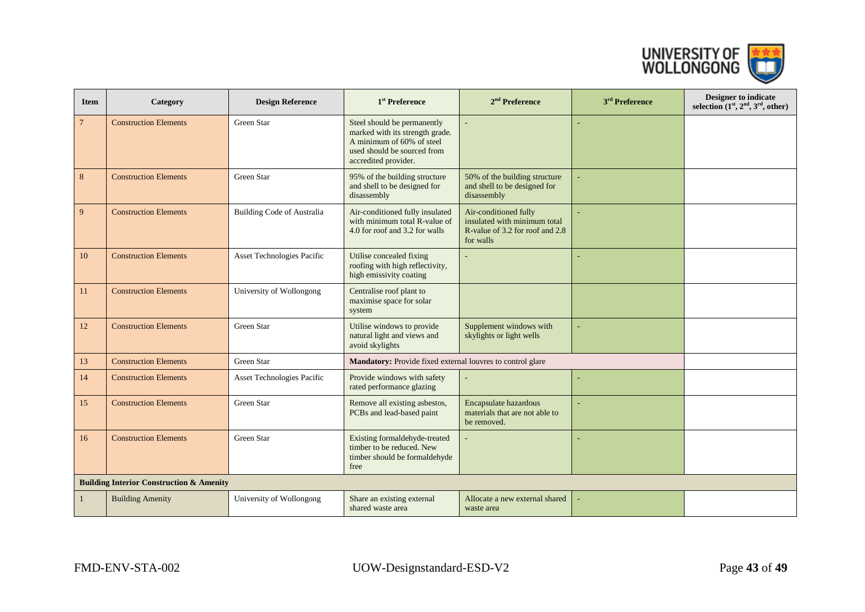

| <b>Item</b>    | Category                                            | <b>Design Reference</b>           | 1 <sup>st</sup> Preference                                                                                                                         | 2 <sup>nd</sup> Preference                                                                            | 3 <sup>rd</sup> Preference | Designer to indicate<br>selection $(1st, 2nd, 3rd, other)$ |
|----------------|-----------------------------------------------------|-----------------------------------|----------------------------------------------------------------------------------------------------------------------------------------------------|-------------------------------------------------------------------------------------------------------|----------------------------|------------------------------------------------------------|
| $\overline{7}$ | <b>Construction Elements</b>                        | Green Star                        | Steel should be permanently<br>marked with its strength grade.<br>A minimum of 60% of steel<br>used should be sourced from<br>accredited provider. |                                                                                                       |                            |                                                            |
| 8              | <b>Construction Elements</b>                        | Green Star                        | 95% of the building structure<br>and shell to be designed for<br>disassembly                                                                       | 50% of the building structure<br>and shell to be designed for<br>disassembly                          |                            |                                                            |
| 9              | <b>Construction Elements</b>                        | <b>Building Code of Australia</b> | Air-conditioned fully insulated<br>with minimum total R-value of<br>4.0 for roof and 3.2 for walls                                                 | Air-conditioned fully<br>insulated with minimum total<br>R-value of 3.2 for roof and 2.8<br>for walls |                            |                                                            |
| 10             | <b>Construction Elements</b>                        | Asset Technologies Pacific        | Utilise concealed fixing<br>roofing with high reflectivity,<br>high emissivity coating                                                             |                                                                                                       |                            |                                                            |
| 11             | <b>Construction Elements</b>                        | University of Wollongong          | Centralise roof plant to<br>maximise space for solar<br>system                                                                                     |                                                                                                       |                            |                                                            |
| 12             | <b>Construction Elements</b>                        | Green Star                        | Utilise windows to provide<br>natural light and views and<br>avoid skylights                                                                       | Supplement windows with<br>skylights or light wells                                                   |                            |                                                            |
| 13             | <b>Construction Elements</b>                        | Green Star                        | Mandatory: Provide fixed external louvres to control glare                                                                                         |                                                                                                       |                            |                                                            |
| 14             | <b>Construction Elements</b>                        | Asset Technologies Pacific        | Provide windows with safety<br>rated performance glazing                                                                                           |                                                                                                       |                            |                                                            |
| 15             | <b>Construction Elements</b>                        | Green Star                        | Remove all existing asbestos,<br>PCBs and lead-based paint                                                                                         | Encapsulate hazardous<br>materials that are not able to<br>be removed.                                |                            |                                                            |
| 16             | <b>Construction Elements</b>                        | Green Star                        | Existing formaldehyde-treated<br>timber to be reduced. New<br>timber should be formaldehyde<br>free                                                |                                                                                                       |                            |                                                            |
|                | <b>Building Interior Construction &amp; Amenity</b> |                                   |                                                                                                                                                    |                                                                                                       |                            |                                                            |
| $\mathbf{1}$   | <b>Building Amenity</b>                             | University of Wollongong          | Share an existing external<br>shared waste area                                                                                                    | Allocate a new external shared<br>waste area                                                          |                            |                                                            |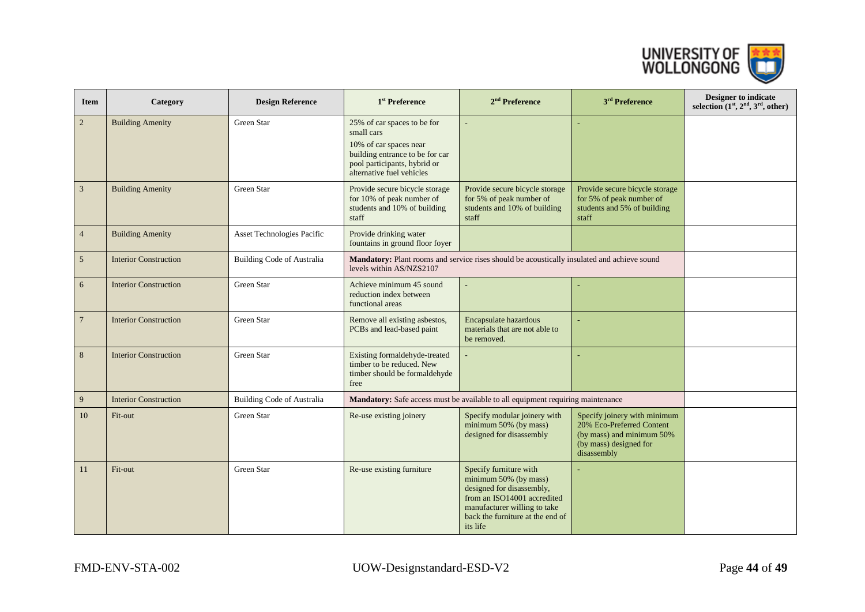

| <b>Item</b>     | Category                     | <b>Design Reference</b>           | 1 <sup>st</sup> Preference                                                                                                                                          | $2nd$ Preference                                                                                                                                                                            | 3 <sup>rd</sup> Preference                                                                                                      | <b>Designer to indicate</b><br>selection $(1st, 2nd, 3rd, other)$ |
|-----------------|------------------------------|-----------------------------------|---------------------------------------------------------------------------------------------------------------------------------------------------------------------|---------------------------------------------------------------------------------------------------------------------------------------------------------------------------------------------|---------------------------------------------------------------------------------------------------------------------------------|-------------------------------------------------------------------|
| $\sqrt{2}$      | <b>Building Amenity</b>      | Green Star                        | 25% of car spaces to be for<br>small cars<br>10% of car spaces near<br>building entrance to be for car<br>pool participants, hybrid or<br>alternative fuel vehicles |                                                                                                                                                                                             |                                                                                                                                 |                                                                   |
| $\overline{3}$  | <b>Building Amenity</b>      | Green Star                        | Provide secure bicycle storage<br>for 10% of peak number of<br>students and 10% of building<br>staff                                                                | Provide secure bicycle storage<br>for 5% of peak number of<br>students and 10% of building<br>staff                                                                                         | Provide secure bicycle storage<br>for 5% of peak number of<br>students and 5% of building<br>staff                              |                                                                   |
| $\overline{4}$  | <b>Building Amenity</b>      | Asset Technologies Pacific        | Provide drinking water<br>fountains in ground floor foyer                                                                                                           |                                                                                                                                                                                             |                                                                                                                                 |                                                                   |
| 5               | <b>Interior Construction</b> | Building Code of Australia        | Mandatory: Plant rooms and service rises should be acoustically insulated and achieve sound<br>levels within AS/NZS2107                                             |                                                                                                                                                                                             |                                                                                                                                 |                                                                   |
| 6               | <b>Interior Construction</b> | Green Star                        | Achieve minimum 45 sound<br>reduction index between<br>functional areas                                                                                             |                                                                                                                                                                                             |                                                                                                                                 |                                                                   |
| $7\phantom{.0}$ | <b>Interior Construction</b> | Green Star                        | Remove all existing asbestos,<br>PCBs and lead-based paint                                                                                                          | Encapsulate hazardous<br>materials that are not able to<br>be removed.                                                                                                                      |                                                                                                                                 |                                                                   |
| 8               | <b>Interior Construction</b> | Green Star                        | Existing formaldehyde-treated<br>timber to be reduced. New<br>timber should be formaldehyde<br>free                                                                 |                                                                                                                                                                                             |                                                                                                                                 |                                                                   |
| 9               | <b>Interior Construction</b> | <b>Building Code of Australia</b> |                                                                                                                                                                     | Mandatory: Safe access must be available to all equipment requiring maintenance                                                                                                             |                                                                                                                                 |                                                                   |
| 10              | Fit-out                      | Green Star                        | Re-use existing joinery                                                                                                                                             | Specify modular joinery with<br>minimum 50% (by mass)<br>designed for disassembly                                                                                                           | Specify joinery with minimum<br>20% Eco-Preferred Content<br>(by mass) and minimum 50%<br>(by mass) designed for<br>disassembly |                                                                   |
| 11              | Fit-out                      | Green Star                        | Re-use existing furniture                                                                                                                                           | Specify furniture with<br>minimum 50% (by mass)<br>designed for disassembly,<br>from an ISO14001 accredited<br>manufacturer willing to take<br>back the furniture at the end of<br>its life |                                                                                                                                 |                                                                   |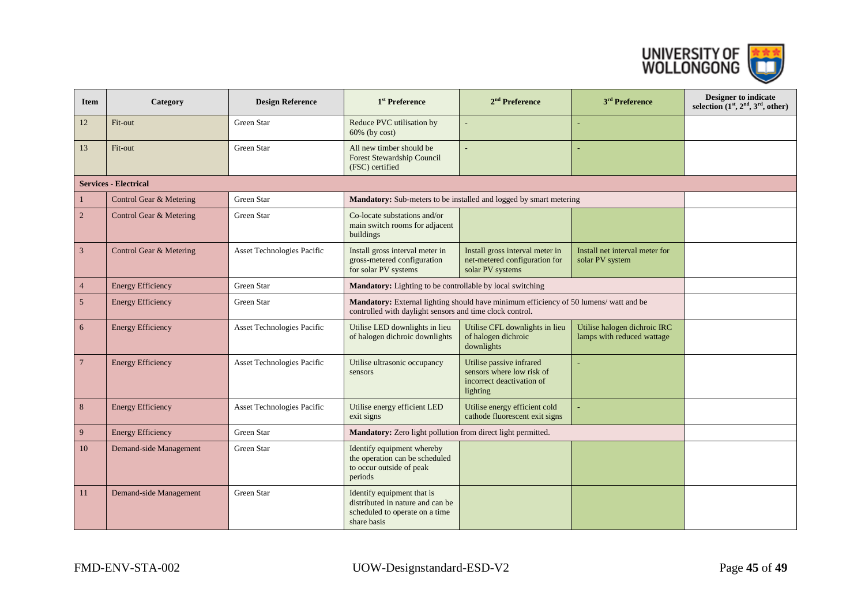

| <b>Item</b>                  | Category                 | <b>Design Reference</b>    | 1 <sup>st</sup> Preference                                                                                      | $2nd$ Preference                                                                                                                                  | 3 <sup>rd</sup> Preference                                 | <b>Designer to indicate</b><br>selection $(1st, 2nd, 3rd, other)$ |  |
|------------------------------|--------------------------|----------------------------|-----------------------------------------------------------------------------------------------------------------|---------------------------------------------------------------------------------------------------------------------------------------------------|------------------------------------------------------------|-------------------------------------------------------------------|--|
| 12                           | Fit-out                  | Green Star                 | Reduce PVC utilisation by<br>$60\%$ (by cost)                                                                   |                                                                                                                                                   |                                                            |                                                                   |  |
| 13                           | Fit-out                  | Green Star                 | All new timber should be<br><b>Forest Stewardship Council</b><br>(FSC) certified                                |                                                                                                                                                   |                                                            |                                                                   |  |
| <b>Services - Electrical</b> |                          |                            |                                                                                                                 |                                                                                                                                                   |                                                            |                                                                   |  |
|                              | Control Gear & Metering  | Green Star                 |                                                                                                                 | Mandatory: Sub-meters to be installed and logged by smart metering                                                                                |                                                            |                                                                   |  |
| $\overline{2}$               | Control Gear & Metering  | Green Star                 | Co-locate substations and/or<br>main switch rooms for adjacent<br>buildings                                     |                                                                                                                                                   |                                                            |                                                                   |  |
| 3                            | Control Gear & Metering  | Asset Technologies Pacific | Install gross interval meter in<br>gross-metered configuration<br>for solar PV systems                          | Install gross interval meter in<br>net-metered configuration for<br>solar PV systems                                                              | Install net interval meter for<br>solar PV system          |                                                                   |  |
| $\overline{4}$               | <b>Energy Efficiency</b> | Green Star                 |                                                                                                                 | Mandatory: Lighting to be controllable by local switching                                                                                         |                                                            |                                                                   |  |
| 5                            | <b>Energy Efficiency</b> | Green Star                 |                                                                                                                 | Mandatory: External lighting should have minimum efficiency of 50 lumens/ watt and be<br>controlled with daylight sensors and time clock control. |                                                            |                                                                   |  |
| 6                            | <b>Energy Efficiency</b> | Asset Technologies Pacific | Utilise LED downlights in lieu<br>of halogen dichroic downlights                                                | Utilise CFL downlights in lieu<br>of halogen dichroic<br>downlights                                                                               | Utilise halogen dichroic IRC<br>lamps with reduced wattage |                                                                   |  |
| $7\phantom{.0}$              | <b>Energy Efficiency</b> | Asset Technologies Pacific | Utilise ultrasonic occupancy<br>sensors                                                                         | Utilise passive infrared<br>sensors where low risk of<br>incorrect deactivation of<br>lighting                                                    |                                                            |                                                                   |  |
| 8                            | <b>Energy Efficiency</b> | Asset Technologies Pacific | Utilise energy efficient LED<br>exit signs                                                                      | Utilise energy efficient cold<br>cathode fluorescent exit signs                                                                                   |                                                            |                                                                   |  |
| 9                            | <b>Energy Efficiency</b> | Green Star                 | Mandatory: Zero light pollution from direct light permitted.                                                    |                                                                                                                                                   |                                                            |                                                                   |  |
| 10                           | Demand-side Management   | Green Star                 | Identify equipment whereby<br>the operation can be scheduled<br>to occur outside of peak<br>periods             |                                                                                                                                                   |                                                            |                                                                   |  |
| 11                           | Demand-side Management   | Green Star                 | Identify equipment that is<br>distributed in nature and can be<br>scheduled to operate on a time<br>share basis |                                                                                                                                                   |                                                            |                                                                   |  |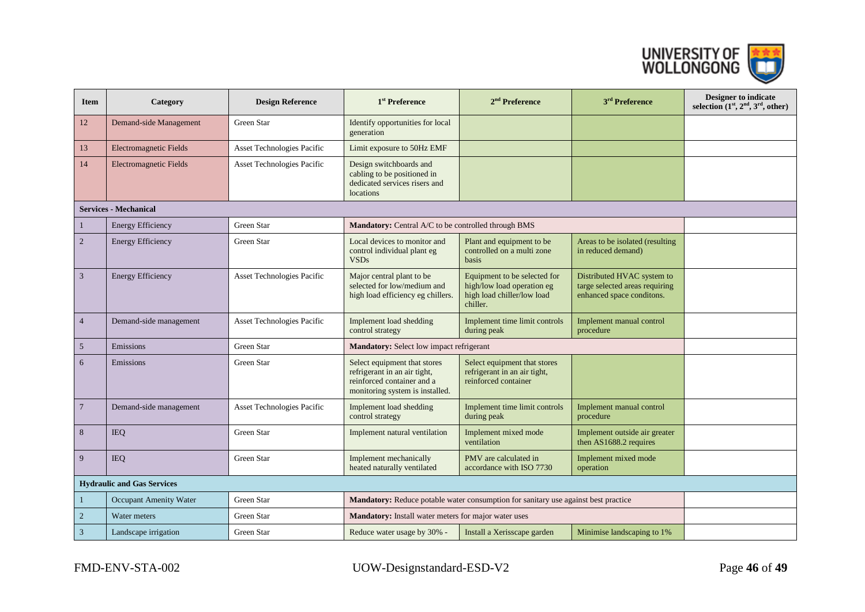

| <b>Item</b>                       | Category                      | <b>Design Reference</b>           | 1 <sup>st</sup> Preference                                                                                                    | $2nd$ Preference                                                                                     | 3 <sup>rd</sup> Preference                                                                | Designer to indicate<br>selection $(1st, 2nd, 3rd, other)$ |
|-----------------------------------|-------------------------------|-----------------------------------|-------------------------------------------------------------------------------------------------------------------------------|------------------------------------------------------------------------------------------------------|-------------------------------------------------------------------------------------------|------------------------------------------------------------|
| 12                                | Demand-side Management        | Green Star                        | Identify opportunities for local<br>generation                                                                                |                                                                                                      |                                                                                           |                                                            |
| 13                                | Electromagnetic Fields        | Asset Technologies Pacific        | Limit exposure to 50Hz EMF                                                                                                    |                                                                                                      |                                                                                           |                                                            |
| 14                                | <b>Electromagnetic Fields</b> | Asset Technologies Pacific        | Design switchboards and<br>cabling to be positioned in<br>dedicated services risers and<br>locations                          |                                                                                                      |                                                                                           |                                                            |
|                                   | <b>Services - Mechanical</b>  |                                   |                                                                                                                               |                                                                                                      |                                                                                           |                                                            |
| $\mathbf{1}$                      | <b>Energy Efficiency</b>      | Green Star                        | Mandatory: Central A/C to be controlled through BMS                                                                           |                                                                                                      |                                                                                           |                                                            |
| $\overline{2}$                    | <b>Energy Efficiency</b>      | Green Star                        | Local devices to monitor and<br>control individual plant eg<br><b>VSDs</b>                                                    | Plant and equipment to be<br>controlled on a multi zone<br><b>basis</b>                              | Areas to be isolated (resulting<br>in reduced demand)                                     |                                                            |
| $\mathfrak{Z}$                    | <b>Energy Efficiency</b>      | Asset Technologies Pacific        | Major central plant to be<br>selected for low/medium and<br>high load efficiency eg chillers.                                 | Equipment to be selected for<br>high/low load operation eg<br>high load chiller/low load<br>chiller. | Distributed HVAC system to<br>targe selected areas requiring<br>enhanced space conditons. |                                                            |
| $\overline{4}$                    | Demand-side management        | <b>Asset Technologies Pacific</b> | Implement load shedding<br>control strategy                                                                                   | Implement time limit controls<br>during peak                                                         | Implement manual control<br>procedure                                                     |                                                            |
| 5                                 | Emissions                     | Green Star                        | <b>Mandatory:</b> Select low impact refrigerant                                                                               |                                                                                                      |                                                                                           |                                                            |
| 6                                 | Emissions                     | Green Star                        | Select equipment that stores<br>refrigerant in an air tight,<br>reinforced container and a<br>monitoring system is installed. | Select equipment that stores<br>refrigerant in an air tight,<br>reinforced container                 |                                                                                           |                                                            |
| $\overline{7}$                    | Demand-side management        | Asset Technologies Pacific        | Implement load shedding<br>control strategy                                                                                   | Implement time limit controls<br>during peak                                                         | Implement manual control<br>procedure                                                     |                                                            |
| 8                                 | <b>IEQ</b>                    | Green Star                        | Implement natural ventilation                                                                                                 | Implement mixed mode<br>ventilation                                                                  | Implement outside air greater<br>then AS1688.2 requires                                   |                                                            |
| 9                                 | <b>IEQ</b>                    | Green Star                        | Implement mechanically<br>heated naturally ventilated                                                                         | PMV are calculated in<br>accordance with ISO 7730                                                    | Implement mixed mode<br>operation                                                         |                                                            |
| <b>Hydraulic and Gas Services</b> |                               |                                   |                                                                                                                               |                                                                                                      |                                                                                           |                                                            |
| $\mathbf{1}$                      | Occupant Amenity Water        | Green Star                        |                                                                                                                               | Mandatory: Reduce potable water consumption for sanitary use against best practice                   |                                                                                           |                                                            |
| $\sqrt{2}$                        | Water meters                  | Green Star                        | Mandatory: Install water meters for major water uses                                                                          |                                                                                                      |                                                                                           |                                                            |
| 3                                 | Landscape irrigation          | Green Star                        | Reduce water usage by 30% -                                                                                                   | Install a Xerisscape garden                                                                          | Minimise landscaping to 1%                                                                |                                                            |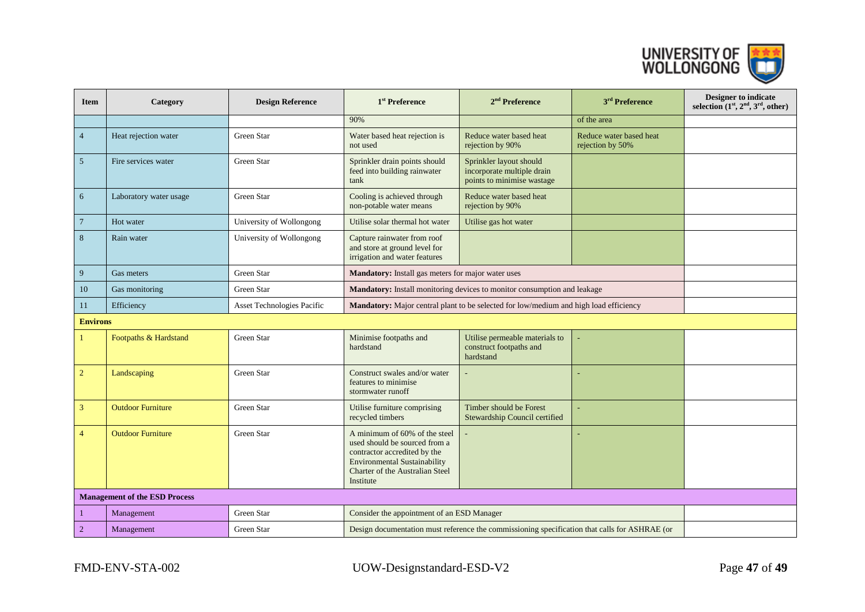

| <b>Item</b>     | Category                             | <b>Design Reference</b>    | 1 <sup>st</sup> Preference                                                                                                                                                            | $2nd$ Preference                                                                              | 3 <sup>rd</sup> Preference                  | Designer to indicate<br>selection $(1st, 2nd, 3rd, other)$ |
|-----------------|--------------------------------------|----------------------------|---------------------------------------------------------------------------------------------------------------------------------------------------------------------------------------|-----------------------------------------------------------------------------------------------|---------------------------------------------|------------------------------------------------------------|
|                 |                                      |                            | 90%                                                                                                                                                                                   |                                                                                               | of the area                                 |                                                            |
| $\overline{4}$  | Heat rejection water                 | Green Star                 | Water based heat rejection is<br>not used                                                                                                                                             | Reduce water based heat<br>rejection by 90%                                                   | Reduce water based heat<br>rejection by 50% |                                                            |
| $\overline{5}$  | Fire services water                  | Green Star                 | Sprinkler drain points should<br>feed into building rainwater<br>tank                                                                                                                 | Sprinkler layout should<br>incorporate multiple drain<br>points to minimise wastage           |                                             |                                                            |
| 6               | Laboratory water usage               | Green Star                 | Cooling is achieved through<br>non-potable water means                                                                                                                                | Reduce water based heat<br>rejection by 90%                                                   |                                             |                                                            |
| $7\phantom{.0}$ | Hot water                            | University of Wollongong   | Utilise solar thermal hot water                                                                                                                                                       | Utilise gas hot water                                                                         |                                             |                                                            |
| 8               | Rain water                           | University of Wollongong   | Capture rainwater from roof<br>and store at ground level for<br>irrigation and water features                                                                                         |                                                                                               |                                             |                                                            |
| 9               | Gas meters                           | Green Star                 | Mandatory: Install gas meters for major water uses                                                                                                                                    |                                                                                               |                                             |                                                            |
| 10              | Gas monitoring                       | Green Star                 |                                                                                                                                                                                       | Mandatory: Install monitoring devices to monitor consumption and leakage                      |                                             |                                                            |
| 11              | Efficiency                           | Asset Technologies Pacific |                                                                                                                                                                                       | <b>Mandatory:</b> Major central plant to be selected for low/medium and high load efficiency  |                                             |                                                            |
| <b>Environs</b> |                                      |                            |                                                                                                                                                                                       |                                                                                               |                                             |                                                            |
| -1              | Footpaths & Hardstand                | Green Star                 | Minimise footpaths and<br>hardstand                                                                                                                                                   | Utilise permeable materials to<br>construct footpaths and<br>hardstand                        |                                             |                                                            |
| $\overline{2}$  | Landscaping                          | Green Star                 | Construct swales and/or water<br>features to minimise<br>stormwater runoff                                                                                                            |                                                                                               |                                             |                                                            |
| $\overline{3}$  | <b>Outdoor Furniture</b>             | Green Star                 | Utilise furniture comprising<br>recycled timbers                                                                                                                                      | Timber should be Forest<br>Stewardship Council certified                                      |                                             |                                                            |
| $\overline{4}$  | <b>Outdoor Furniture</b>             | Green Star                 | A minimum of 60% of the steel<br>used should be sourced from a<br>contractor accredited by the<br><b>Environmental Sustainability</b><br>Charter of the Australian Steel<br>Institute |                                                                                               |                                             |                                                            |
|                 | <b>Management of the ESD Process</b> |                            |                                                                                                                                                                                       |                                                                                               |                                             |                                                            |
| $\mathbf{1}$    | Management                           | Green Star                 | Consider the appointment of an ESD Manager                                                                                                                                            |                                                                                               |                                             |                                                            |
| $\overline{2}$  | Management                           | Green Star                 |                                                                                                                                                                                       | Design documentation must reference the commissioning specification that calls for ASHRAE (or |                                             |                                                            |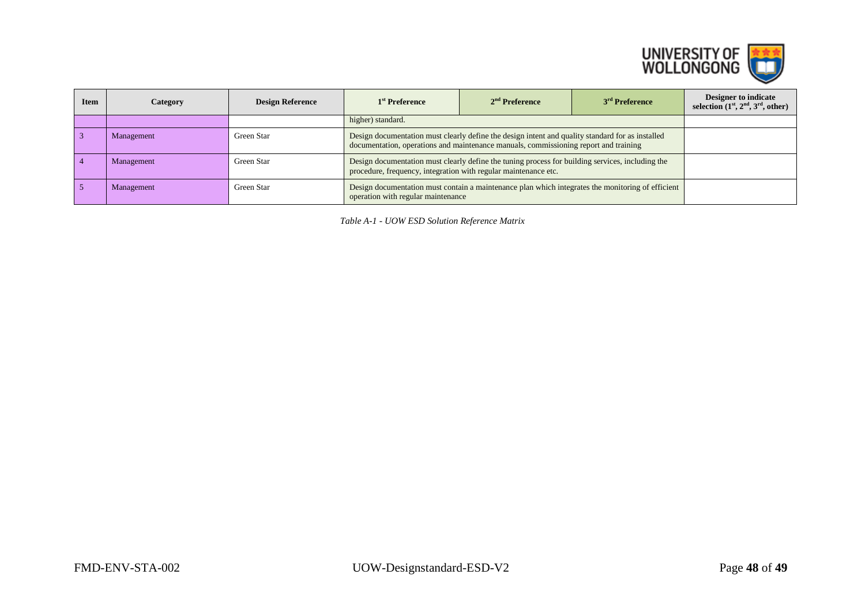

| <b>Item</b> | Category   | <b>Design Reference</b> | 1 <sup>st</sup> Preference                                                                                                                                                               | $2nd$ Preference                                                                                                                        | 3 <sup>rd</sup> Preference | Designer to indicate<br>selection $(1st, 2nd, 3rd, 0th)$ |
|-------------|------------|-------------------------|------------------------------------------------------------------------------------------------------------------------------------------------------------------------------------------|-----------------------------------------------------------------------------------------------------------------------------------------|----------------------------|----------------------------------------------------------|
|             |            |                         | higher) standard.                                                                                                                                                                        |                                                                                                                                         |                            |                                                          |
|             | Management | Green Star              | Design documentation must clearly define the design intent and quality standard for as installed<br>documentation, operations and maintenance manuals, commissioning report and training |                                                                                                                                         |                            |                                                          |
|             | Management | Green Star              | Design documentation must clearly define the tuning process for building services, including the<br>procedure, frequency, integration with regular maintenance etc.                      |                                                                                                                                         |                            |                                                          |
|             | Management | Green Star              |                                                                                                                                                                                          | Design documentation must contain a maintenance plan which integrates the monitoring of efficient<br>operation with regular maintenance |                            |                                                          |

*Table A-1 - UOW ESD Solution Reference Matrix*